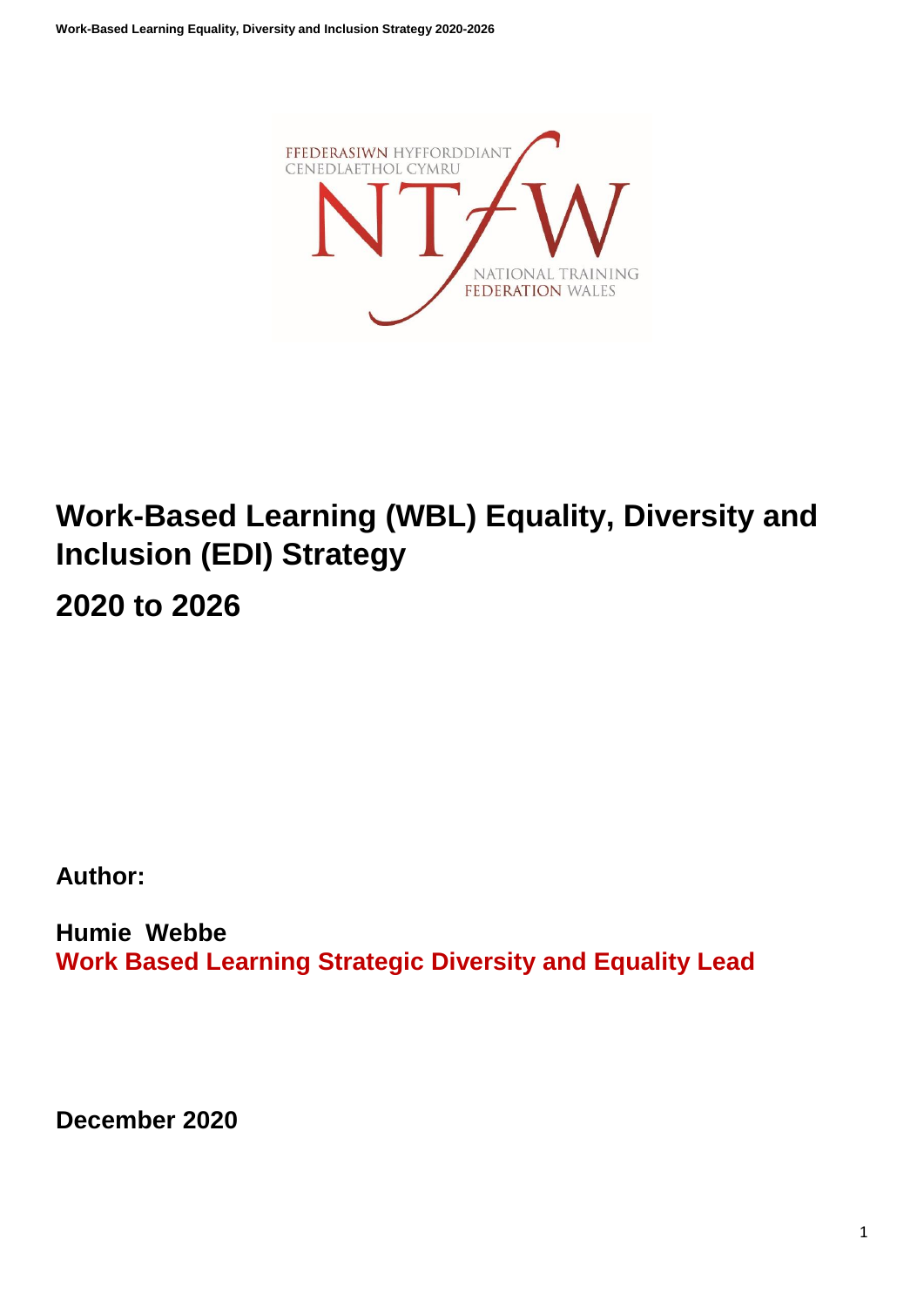

# **Work-Based Learning (WBL) Equality, Diversity and Inclusion (EDI) Strategy 2020 to 2026**

**Author:**

**Humie Webbe Work Based Learning Strategic Diversity and Equality Lead**

**December 2020**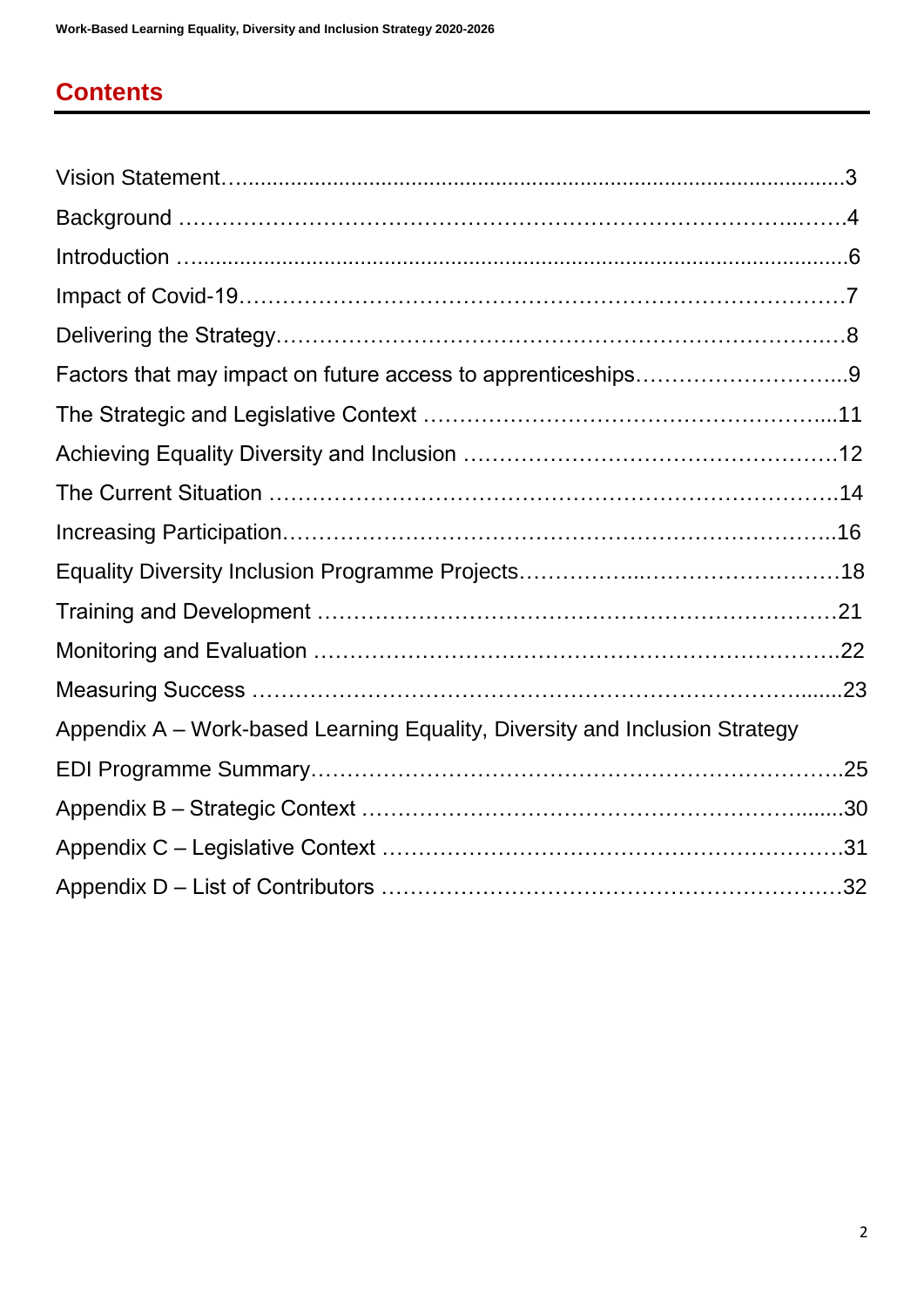## **Contents**

| Appendix A – Work-based Learning Equality, Diversity and Inclusion Strategy |  |
|-----------------------------------------------------------------------------|--|
|                                                                             |  |
|                                                                             |  |
|                                                                             |  |
|                                                                             |  |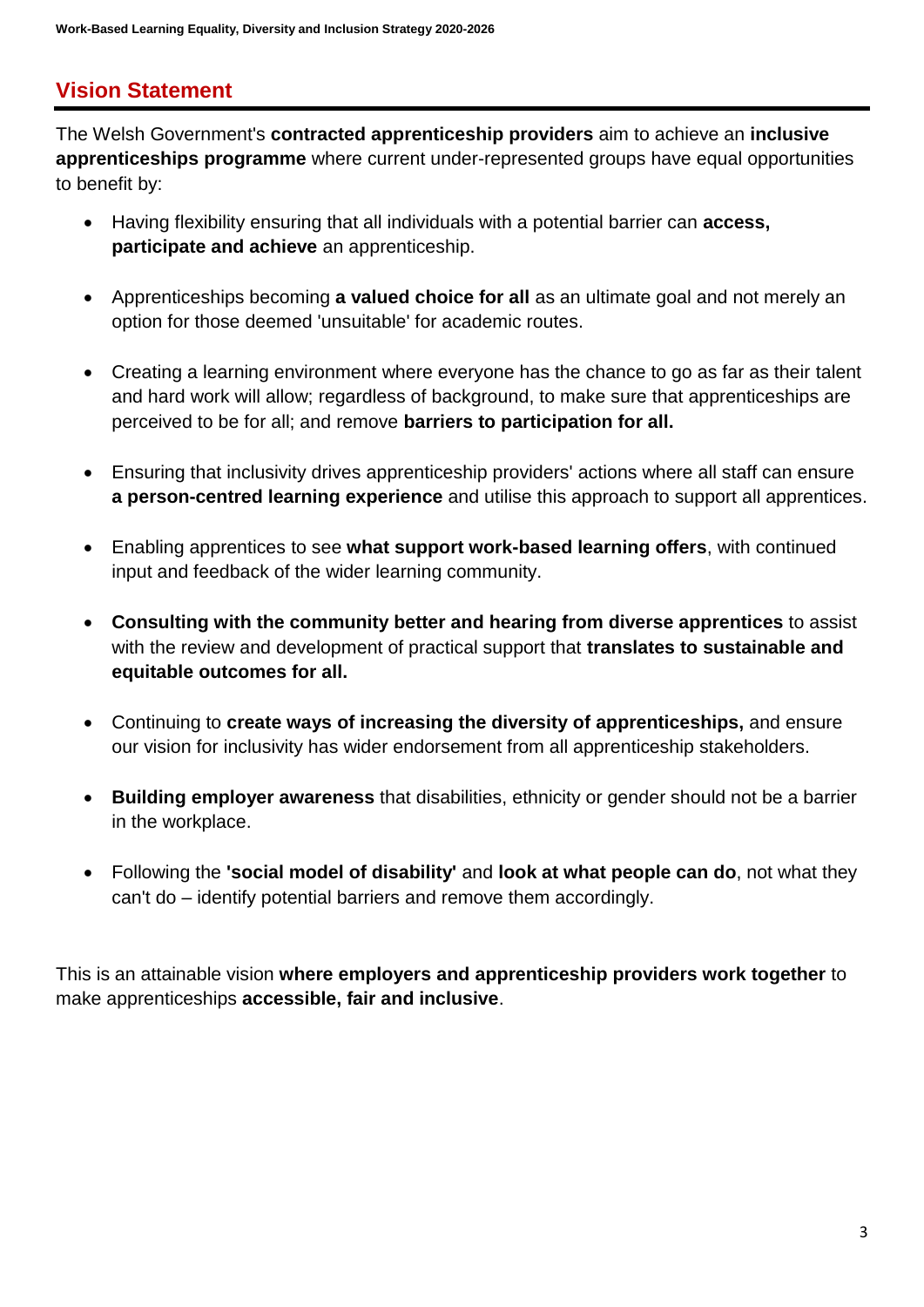## **Vision Statement**

The Welsh Government's **contracted apprenticeship providers** aim to achieve an **inclusive apprenticeships programme** where current under-represented groups have equal opportunities to benefit by:

- Having flexibility ensuring that all individuals with a potential barrier can **access, participate and achieve** an apprenticeship.
- Apprenticeships becoming **a valued choice for all** as an ultimate goal and not merely an option for those deemed 'unsuitable' for academic routes.
- Creating a learning environment where everyone has the chance to go as far as their talent and hard work will allow; regardless of background, to make sure that apprenticeships are perceived to be for all; and remove **barriers to participation for all.**
- Ensuring that inclusivity drives apprenticeship providers' actions where all staff can ensure **a person-centred learning experience** and utilise this approach to support all apprentices.
- Enabling apprentices to see **what support work-based learning offers**, with continued input and feedback of the wider learning community.
- **Consulting with the community better and hearing from diverse apprentices** to assist with the review and development of practical support that **translates to sustainable and equitable outcomes for all.**
- Continuing to **create ways of increasing the diversity of apprenticeships,** and ensure our vision for inclusivity has wider endorsement from all apprenticeship stakeholders.
- **Building employer awareness** that disabilities, ethnicity or gender should not be a barrier in the workplace.
- Following the **'social model of disability'** and **look at what people can do**, not what they can't do – identify potential barriers and remove them accordingly.

This is an attainable vision **where employers and apprenticeship providers work together** to make apprenticeships **accessible, fair and inclusive**.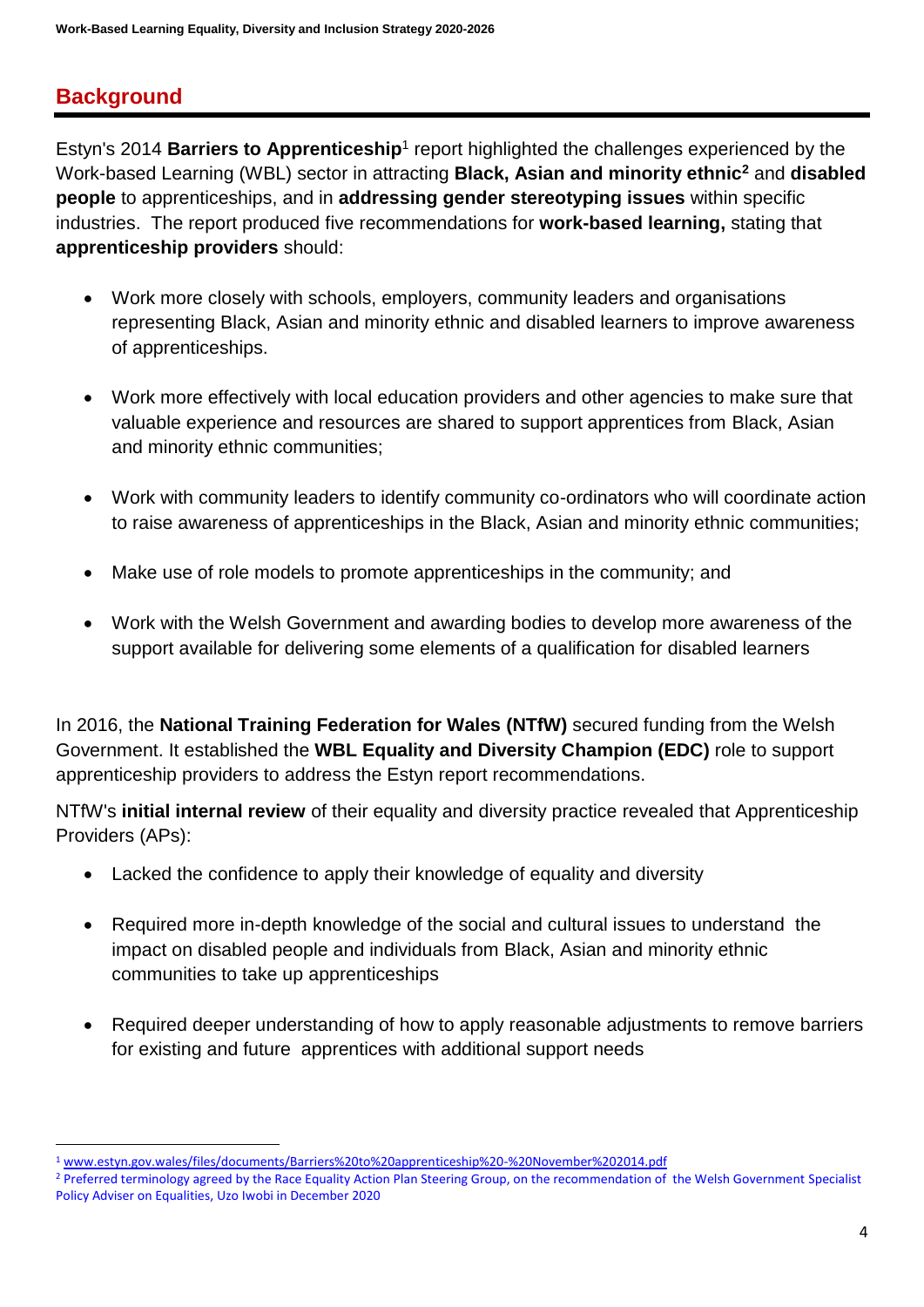## **Background**

**.** 

Estyn's 2014 **Barriers to Apprenticeship**<sup>1</sup> report highlighted the challenges experienced by the Work-based Learning (WBL) sector in attracting **Black, Asian and minority ethnic<sup>2</sup>** and **disabled people** to apprenticeships, and in **addressing gender stereotyping issues** within specific industries. The report produced five recommendations for **work-based learning,** stating that **apprenticeship providers** should:

- Work more closely with schools, employers, community leaders and organisations representing Black, Asian and minority ethnic and disabled learners to improve awareness of apprenticeships.
- Work more effectively with local education providers and other agencies to make sure that valuable experience and resources are shared to support apprentices from Black, Asian and minority ethnic communities;
- Work with community leaders to identify community co-ordinators who will coordinate action to raise awareness of apprenticeships in the Black, Asian and minority ethnic communities;
- Make use of role models to promote apprenticeships in the community; and
- Work with the Welsh Government and awarding bodies to develop more awareness of the support available for delivering some elements of a qualification for disabled learners

In 2016, the **National Training Federation for Wales (NTfW)** secured funding from the Welsh Government. It established the **WBL Equality and Diversity Champion (EDC)** role to support apprenticeship providers to address the Estyn report recommendations.

NTfW's **initial internal review** of their equality and diversity practice revealed that Apprenticeship Providers (APs):

- Lacked the confidence to apply their knowledge of equality and diversity
- Required more in-depth knowledge of the social and cultural issues to understand the impact on disabled people and individuals from Black, Asian and minority ethnic communities to take up apprenticeships
- Required deeper understanding of how to apply reasonable adjustments to remove barriers for existing and future apprentices with additional support needs

<sup>1</sup> [www.estyn.gov.wales/files/documents/Barriers%20to%20apprenticeship%20-%20November%202014.pdf](http://www.estyn.gov.wales/files/documents/Barriers%20to%20apprenticeship%20-%20November%202014.pdf)

<sup>&</sup>lt;sup>2</sup> Preferred terminology agreed by the Race Equality Action Plan Steering Group, on the recommendation of the Welsh Government Specialist Policy Adviser on Equalities, Uzo Iwobi in December 2020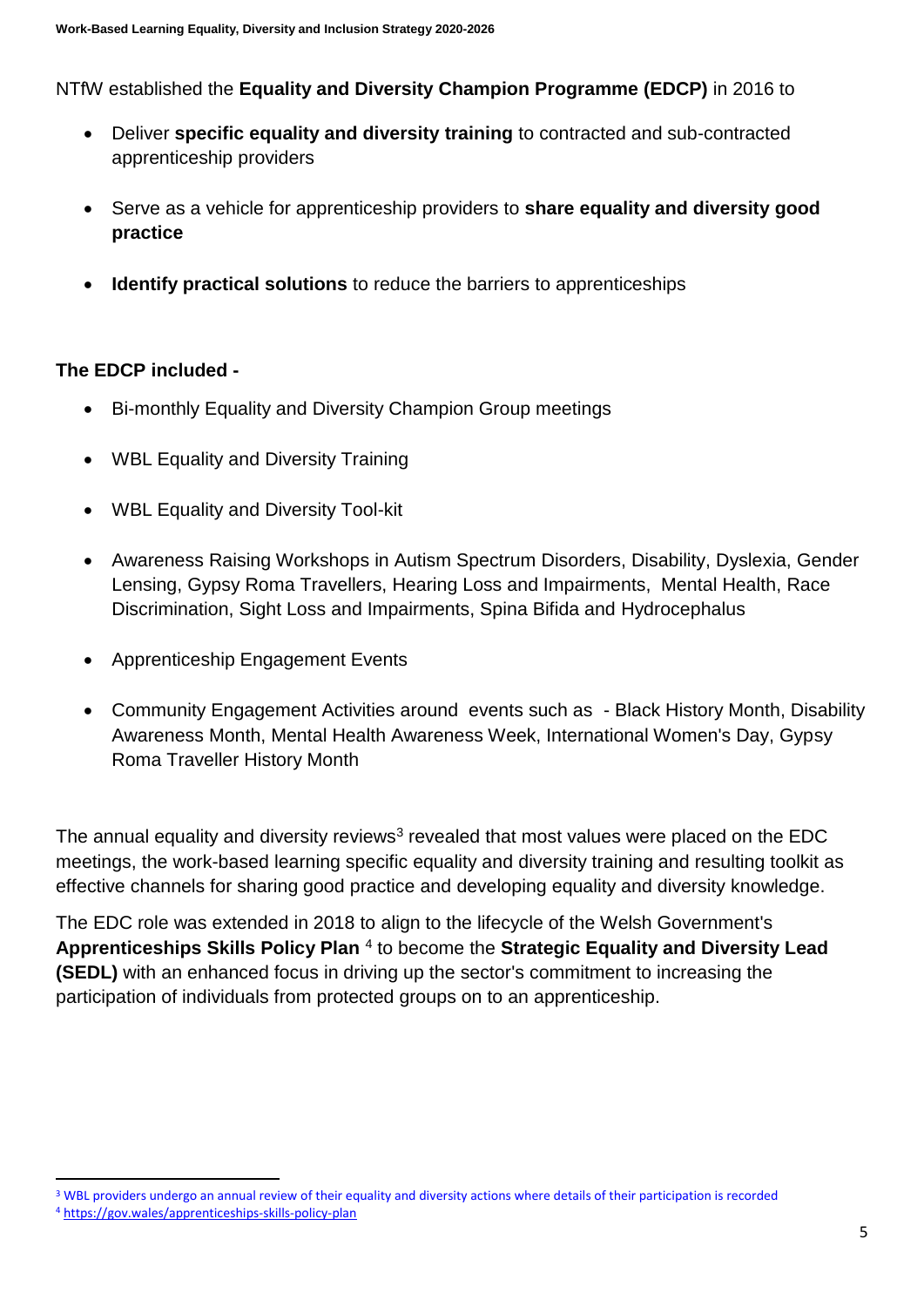NTfW established the **Equality and Diversity Champion Programme (EDCP)** in 2016 to

- Deliver **specific equality and diversity training** to contracted and sub-contracted apprenticeship providers
- Serve as a vehicle for apprenticeship providers to **share equality and diversity good practice**
- **Identify practical solutions** to reduce the barriers to apprenticeships

#### **The EDCP included -**

- Bi-monthly Equality and Diversity Champion Group meetings
- WBL Equality and Diversity Training
- WBL Equality and Diversity Tool-kit
- Awareness Raising Workshops in Autism Spectrum Disorders, Disability, Dyslexia, Gender Lensing, Gypsy Roma Travellers, Hearing Loss and Impairments, Mental Health, Race Discrimination, Sight Loss and Impairments, Spina Bifida and Hydrocephalus
- Apprenticeship Engagement Events
- Community Engagement Activities around events such as Black History Month, Disability Awareness Month, Mental Health Awareness Week, International Women's Day, Gypsy Roma Traveller History Month

The annual equality and diversity reviews<sup>3</sup> revealed that most values were placed on the EDC meetings, the work-based learning specific equality and diversity training and resulting toolkit as effective channels for sharing good practice and developing equality and diversity knowledge.

The EDC role was extended in 2018 to align to the lifecycle of the Welsh Government's **Apprenticeships Skills Policy Plan** <sup>4</sup> to become the **Strategic Equality and Diversity Lead (SEDL)** with an enhanced focus in driving up the sector's commitment to increasing the participation of individuals from protected groups on to an apprenticeship.

<sup>&</sup>lt;sup>3</sup> WBL providers undergo an annual review of their equality and diversity actions where details of their participation is recorded

<sup>4</sup> <https://gov.wales/apprenticeships-skills-policy-plan>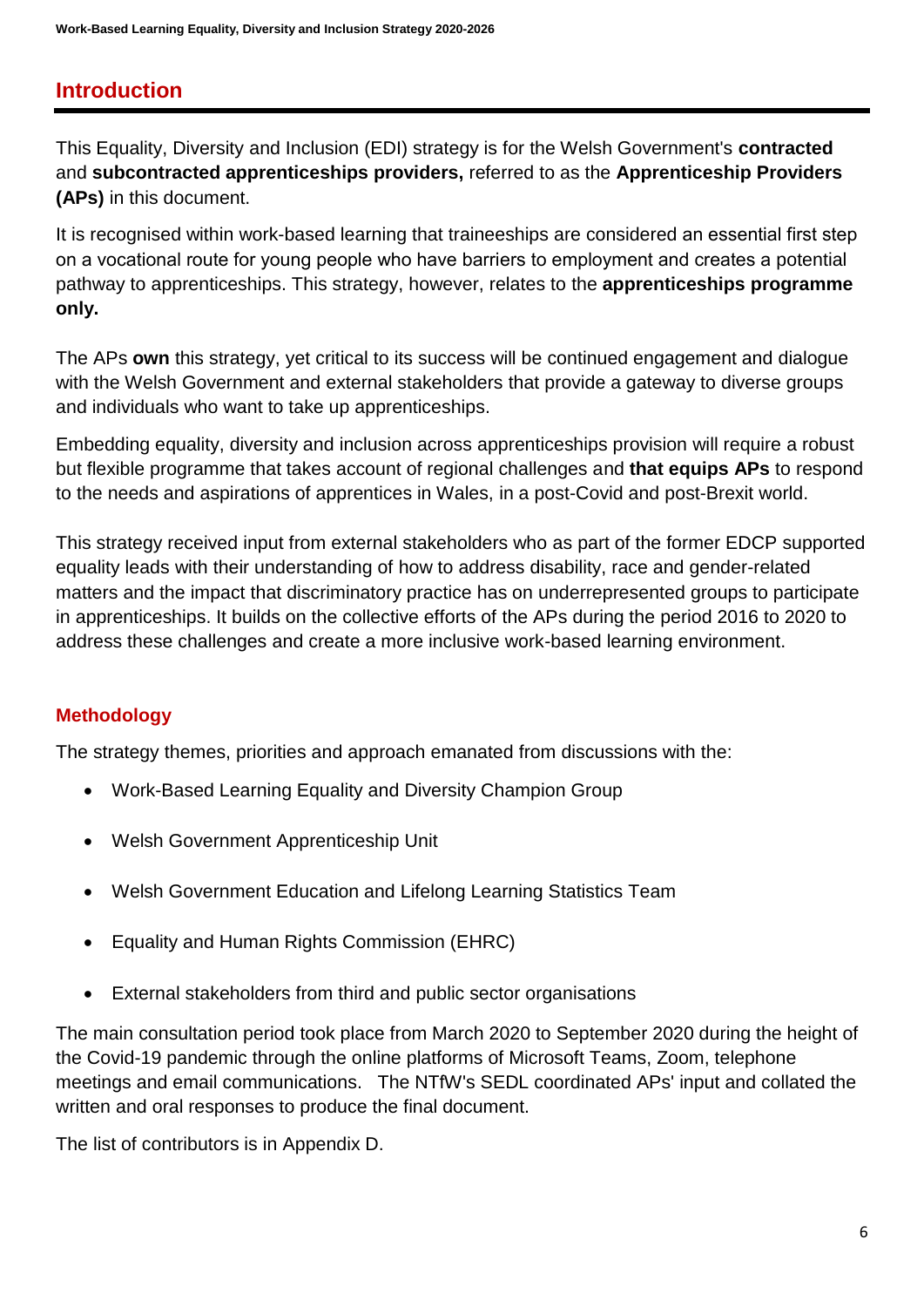#### **Introduction**

This Equality, Diversity and Inclusion (EDI) strategy is for the Welsh Government's **contracted** and **subcontracted apprenticeships providers,** referred to as the **Apprenticeship Providers (APs)** in this document.

It is recognised within work-based learning that traineeships are considered an essential first step on a vocational route for young people who have barriers to employment and creates a potential pathway to apprenticeships. This strategy, however, relates to the **apprenticeships programme only.** 

The APs **own** this strategy, yet critical to its success will be continued engagement and dialogue with the Welsh Government and external stakeholders that provide a gateway to diverse groups and individuals who want to take up apprenticeships.

Embedding equality, diversity and inclusion across apprenticeships provision will require a robust but flexible programme that takes account of regional challenges and **that equips APs** to respond to the needs and aspirations of apprentices in Wales, in a post-Covid and post-Brexit world.

This strategy received input from external stakeholders who as part of the former EDCP supported equality leads with their understanding of how to address disability, race and gender-related matters and the impact that discriminatory practice has on underrepresented groups to participate in apprenticeships. It builds on the collective efforts of the APs during the period 2016 to 2020 to address these challenges and create a more inclusive work-based learning environment.

#### **Methodology**

The strategy themes, priorities and approach emanated from discussions with the:

- Work-Based Learning Equality and Diversity Champion Group
- Welsh Government Apprenticeship Unit
- Welsh Government Education and Lifelong Learning Statistics Team
- Equality and Human Rights Commission (EHRC)
- External stakeholders from third and public sector organisations

The main consultation period took place from March 2020 to September 2020 during the height of the Covid-19 pandemic through the online platforms of Microsoft Teams, Zoom, telephone meetings and email communications. The NTfW's SEDL coordinated APs' input and collated the written and oral responses to produce the final document.

The list of contributors is in Appendix D.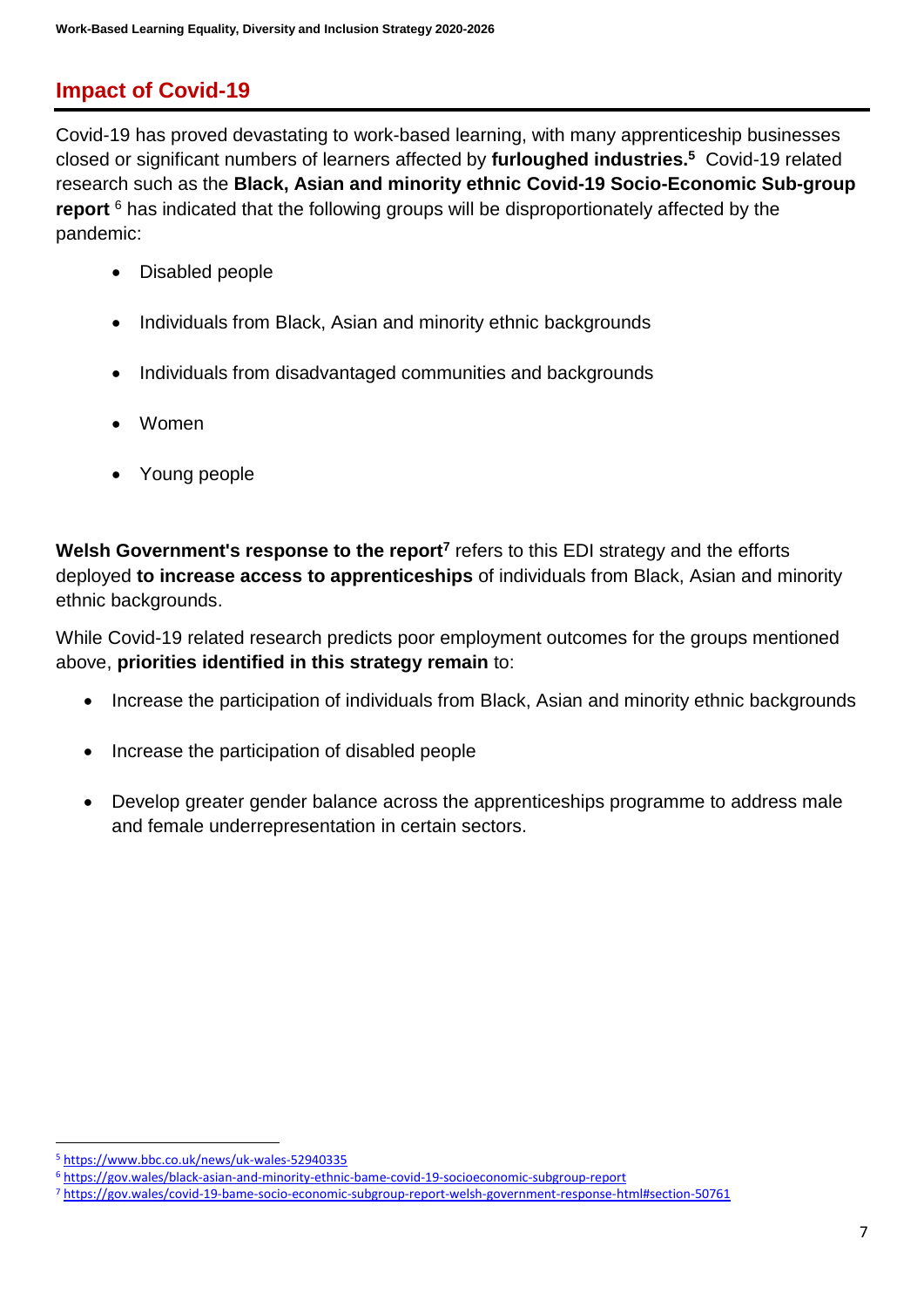## **Impact of Covid-19**

Covid-19 has proved devastating to work-based learning, with many apprenticeship businesses closed or significant numbers of learners affected by **furloughed industries.<sup>5</sup>** Covid-19 related research such as the **Black, Asian and minority ethnic Covid-19 Socio-Economic Sub-group report** <sup>6</sup> has indicated that the following groups will be disproportionately affected by the pandemic:

- Disabled people
- Individuals from Black, Asian and minority ethnic backgrounds
- Individuals from disadvantaged communities and backgrounds
- Women
- Young people

Welsh Government's response to the report<sup>7</sup> refers to this EDI strategy and the efforts deployed **to increase access to apprenticeships** of individuals from Black, Asian and minority ethnic backgrounds.

While Covid-19 related research predicts poor employment outcomes for the groups mentioned above, **priorities identified in this strategy remain** to:

- Increase the participation of individuals from Black, Asian and minority ethnic backgrounds
- Increase the participation of disabled people
- Develop greater gender balance across the apprenticeships programme to address male and female underrepresentation in certain sectors.

<sup>5</sup> <https://www.bbc.co.uk/news/uk-wales-52940335>

<sup>6</sup> <https://gov.wales/black-asian-and-minority-ethnic-bame-covid-19-socioeconomic-subgroup-report>

<sup>7</sup> <https://gov.wales/covid-19-bame-socio-economic-subgroup-report-welsh-government-response-html#section-50761>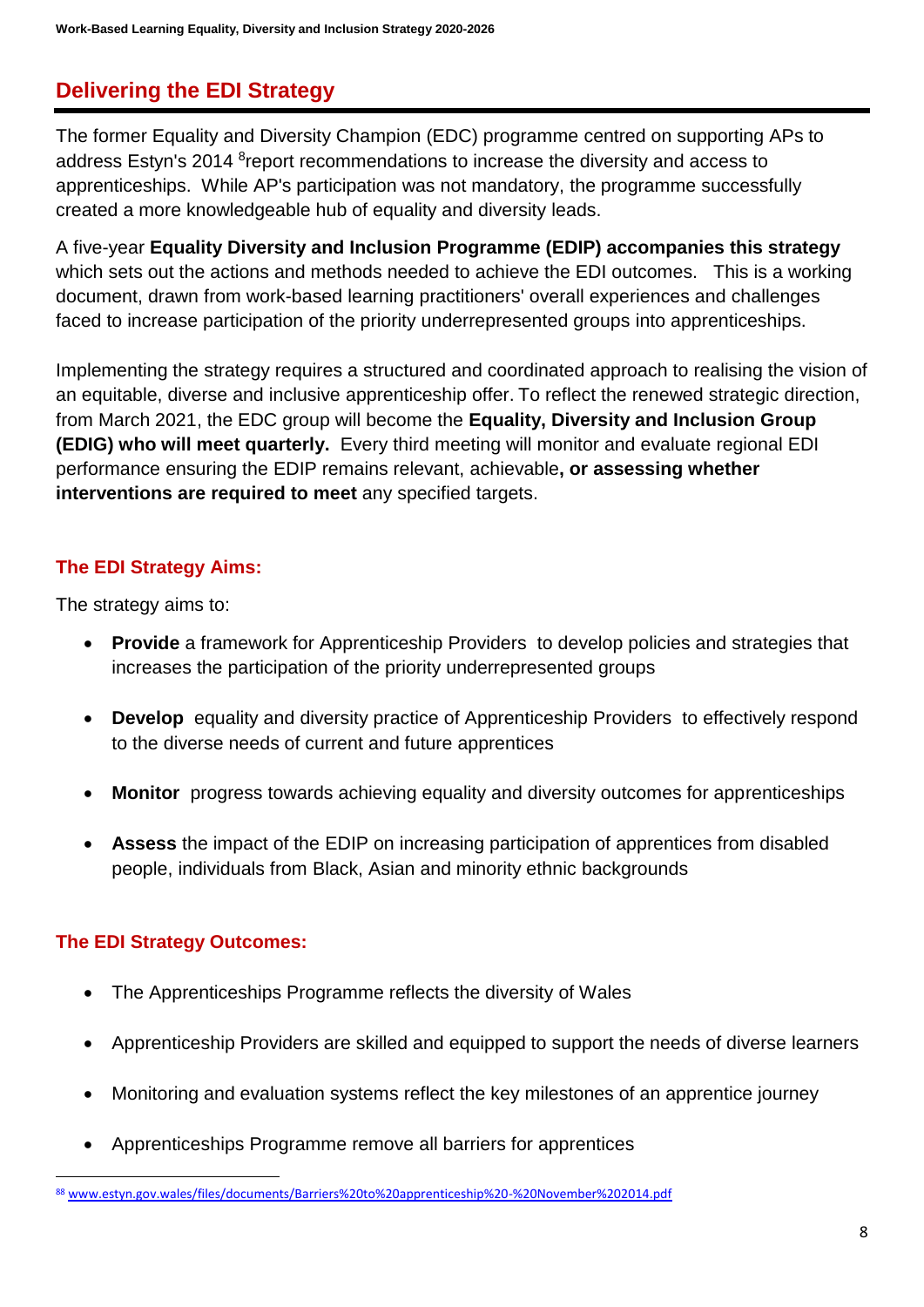## **Delivering the EDI Strategy**

The former Equality and Diversity Champion (EDC) programme centred on supporting APs to address Estyn's 2014 <sup>8</sup>report recommendations to increase the diversity and access to apprenticeships. While AP's participation was not mandatory, the programme successfully created a more knowledgeable hub of equality and diversity leads.

A five-year **Equality Diversity and Inclusion Programme (EDIP) accompanies this strategy** which sets out the actions and methods needed to achieve the EDI outcomes. This is a working document, drawn from work-based learning practitioners' overall experiences and challenges faced to increase participation of the priority underrepresented groups into apprenticeships.

Implementing the strategy requires a structured and coordinated approach to realising the vision of an equitable, diverse and inclusive apprenticeship offer. To reflect the renewed strategic direction, from March 2021, the EDC group will become the **Equality, Diversity and Inclusion Group (EDIG) who will meet quarterly.** Every third meeting will monitor and evaluate regional EDI performance ensuring the EDIP remains relevant, achievable**, or assessing whether interventions are required to meet** any specified targets.

#### **The EDI Strategy Aims:**

The strategy aims to:

- **Provide** a framework for Apprenticeship Providers to develop policies and strategies that increases the participation of the priority underrepresented groups
- **Develop** equality and diversity practice of Apprenticeship Providers to effectively respond to the diverse needs of current and future apprentices
- **Monitor** progress towards achieving equality and diversity outcomes for apprenticeships
- **Assess** the impact of the EDIP on increasing participation of apprentices from disabled people, individuals from Black, Asian and minority ethnic backgrounds

#### **The EDI Strategy Outcomes:**

1

- The Apprenticeships Programme reflects the diversity of Wales
- Apprenticeship Providers are skilled and equipped to support the needs of diverse learners
- Monitoring and evaluation systems reflect the key milestones of an apprentice journey
- Apprenticeships Programme remove all barriers for apprentices

<sup>88</sup> [www.estyn.gov.wales/files/documents/Barriers%20to%20apprenticeship%20-%20November%202014.pdf](http://www.estyn.gov.wales/files/documents/Barriers%20to%20apprenticeship%20-%20November%202014.pdf)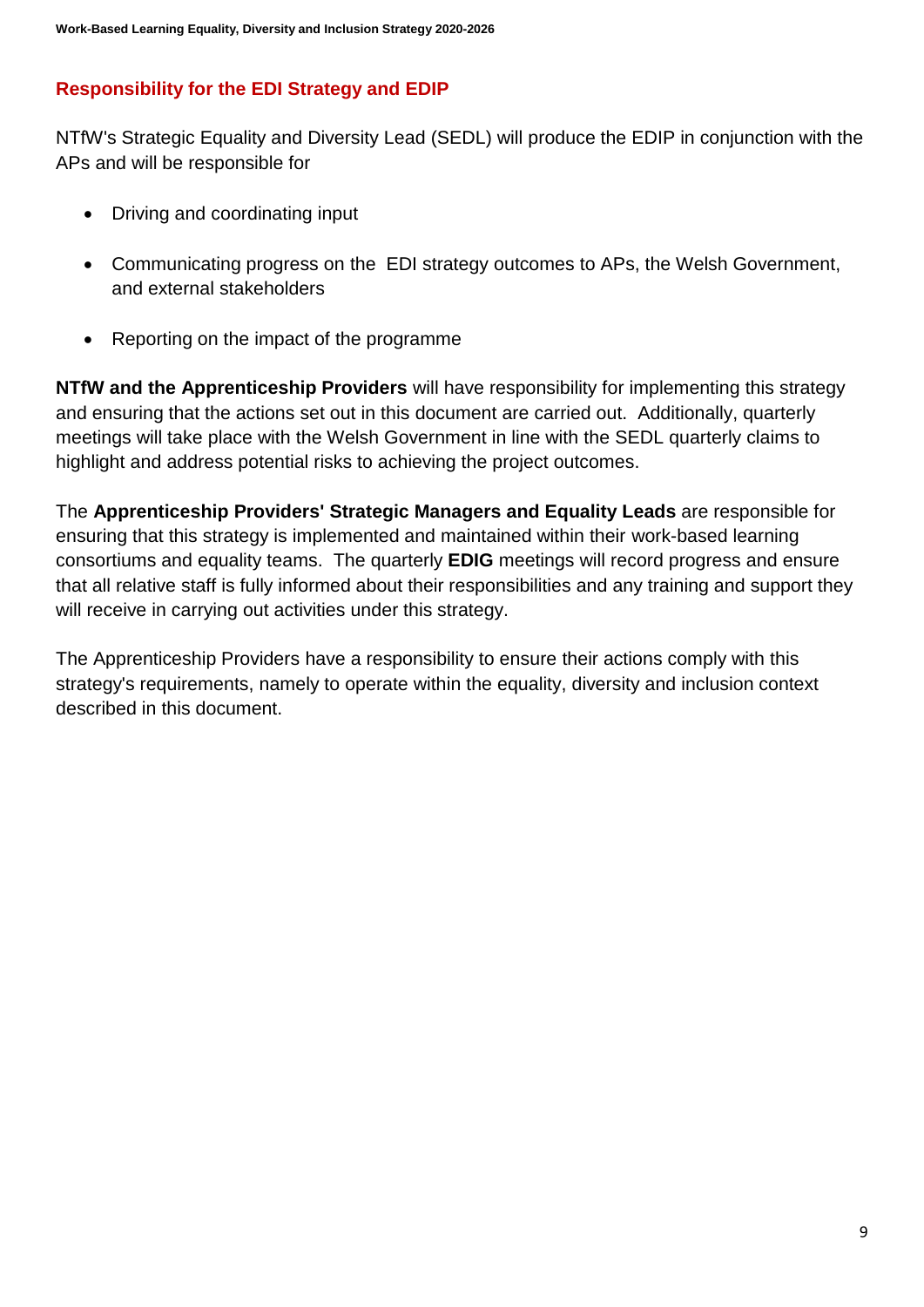#### **Responsibility for the EDI Strategy and EDIP**

NTfW's Strategic Equality and Diversity Lead (SEDL) will produce the EDIP in conjunction with the APs and will be responsible for

- Driving and coordinating input
- Communicating progress on the EDI strategy outcomes to APs, the Welsh Government, and external stakeholders
- Reporting on the impact of the programme

**NTfW and the Apprenticeship Providers** will have responsibility for implementing this strategy and ensuring that the actions set out in this document are carried out. Additionally, quarterly meetings will take place with the Welsh Government in line with the SEDL quarterly claims to highlight and address potential risks to achieving the project outcomes.

The **Apprenticeship Providers' Strategic Managers and Equality Leads** are responsible for ensuring that this strategy is implemented and maintained within their work-based learning consortiums and equality teams. The quarterly **EDIG** meetings will record progress and ensure that all relative staff is fully informed about their responsibilities and any training and support they will receive in carrying out activities under this strategy.

The Apprenticeship Providers have a responsibility to ensure their actions comply with this strategy's requirements, namely to operate within the equality, diversity and inclusion context described in this document.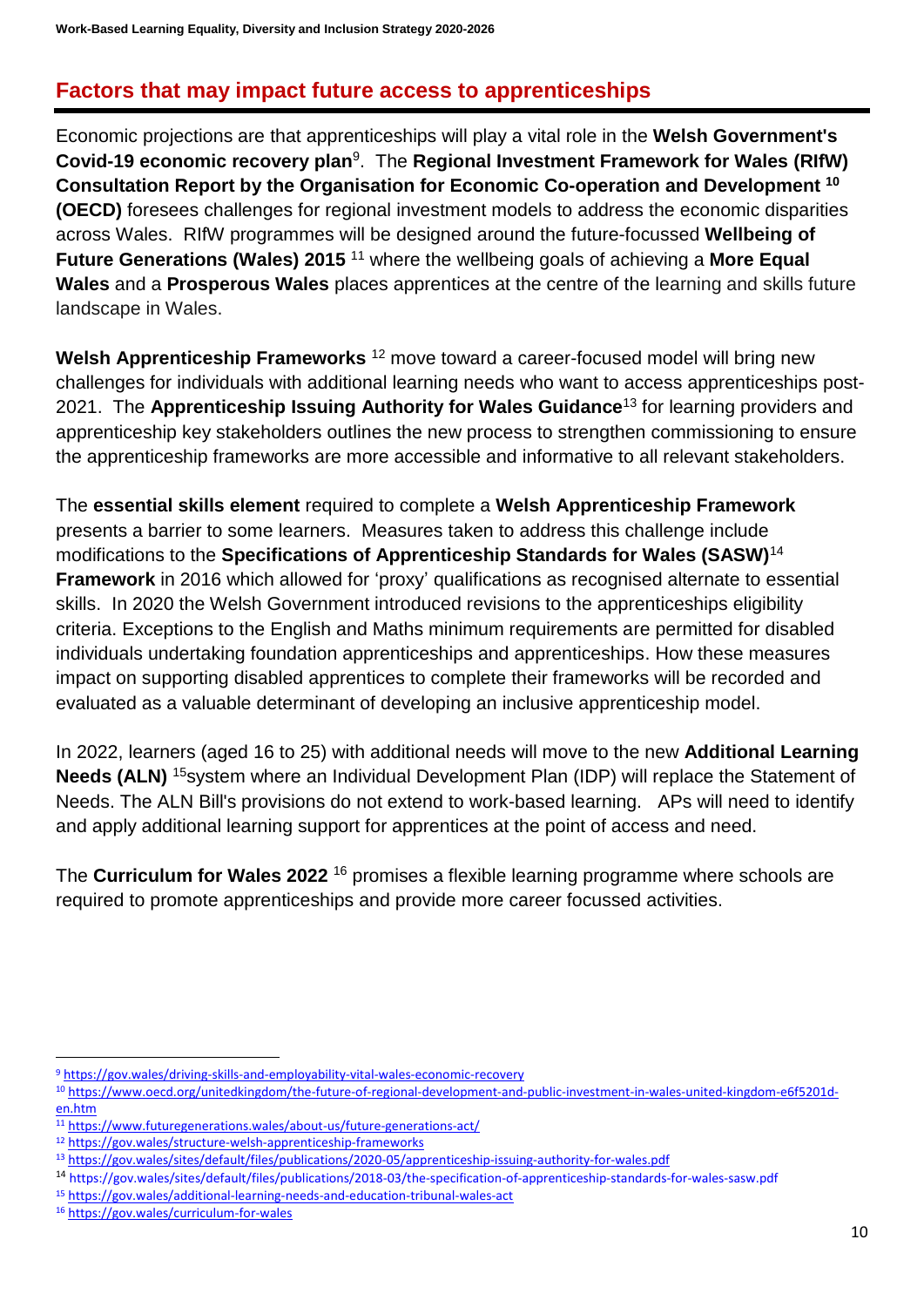### **Factors that may impact future access to apprenticeships**

Economic projections are that apprenticeships will play a vital role in the **Welsh Government's Covid-19 economic recovery plan**<sup>9</sup> . The **Regional Investment Framework for Wales (RIfW) Consultation Report by the Organisation for Economic Co-operation and Development <sup>10</sup> (OECD)** foresees challenges for regional investment models to address the economic disparities across Wales.RIfW programmes will be designed around the future-focussed **Wellbeing of Future Generations (Wales) 2015** <sup>11</sup> where the wellbeing goals of achieving a **More Equal Wales** and a **Prosperous Wales** places apprentices at the centre of the learning and skills future landscape in Wales.

**Welsh Apprenticeship Frameworks** <sup>12</sup> move toward a career-focused model will bring new challenges for individuals with additional learning needs who want to access apprenticeships post-2021. The **Apprenticeship Issuing Authority for Wales Guidance**<sup>13</sup> for learning providers and apprenticeship key stakeholders outlines the new process to strengthen commissioning to ensure the apprenticeship frameworks are more accessible and informative to all relevant stakeholders.

The **essential skills element** required to complete a **Welsh Apprenticeship Framework** presents a barrier to some learners. Measures taken to address this challenge include modifications to the **Specifications of Apprenticeship Standards for Wales (SASW)**<sup>14</sup> **Framework** in 2016 which allowed for 'proxy' qualifications as recognised alternate to essential skills. In 2020 the Welsh Government introduced revisions to the apprenticeships eligibility criteria. Exceptions to the English and Maths minimum requirements are permitted for disabled individuals undertaking foundation apprenticeships and apprenticeships. How these measures impact on supporting disabled apprentices to complete their frameworks will be recorded and evaluated as a valuable determinant of developing an inclusive apprenticeship model.

In 2022, learners (aged 16 to 25) with additional needs will move to the new **Additional Learning Needs (ALN)** <sup>15</sup> system where an Individual Development Plan (IDP) will replace the Statement of Needs. The ALN Bill's provisions do not extend to work-based learning. APs will need to identify and apply additional learning support for apprentices at the point of access and need.

The **Curriculum for Wales 2022** <sup>16</sup> promises a flexible learning programme where schools are required to promote apprenticeships and provide more career focussed activities.

1

<sup>9</sup> <https://gov.wales/driving-skills-and-employability-vital-wales-economic-recovery>

<sup>10</sup> [https://www.oecd.org/unitedkingdom/the-future-of-regional-development-and-public-investment-in-wales-united-kingdom-e6f5201d](https://www.oecd.org/unitedkingdom/the-future-of-regional-development-and-public-investment-in-wales-united-kingdom-e6f5201d-en.htm)[en.htm](https://www.oecd.org/unitedkingdom/the-future-of-regional-development-and-public-investment-in-wales-united-kingdom-e6f5201d-en.htm)

<sup>11</sup> <https://www.futuregenerations.wales/about-us/future-generations-act/>

<sup>12</sup> <https://gov.wales/structure-welsh-apprenticeship-frameworks>

<sup>13</sup> <https://gov.wales/sites/default/files/publications/2020-05/apprenticeship-issuing-authority-for-wales.pdf>

<sup>14</sup> https://gov.wales/sites/default/files/publications/2018-03/the-specification-of-apprenticeship-standards-for-wales-sasw.pdf

<sup>15</sup> <https://gov.wales/additional-learning-needs-and-education-tribunal-wales-act>

<sup>16</sup> <https://gov.wales/curriculum-for-wales>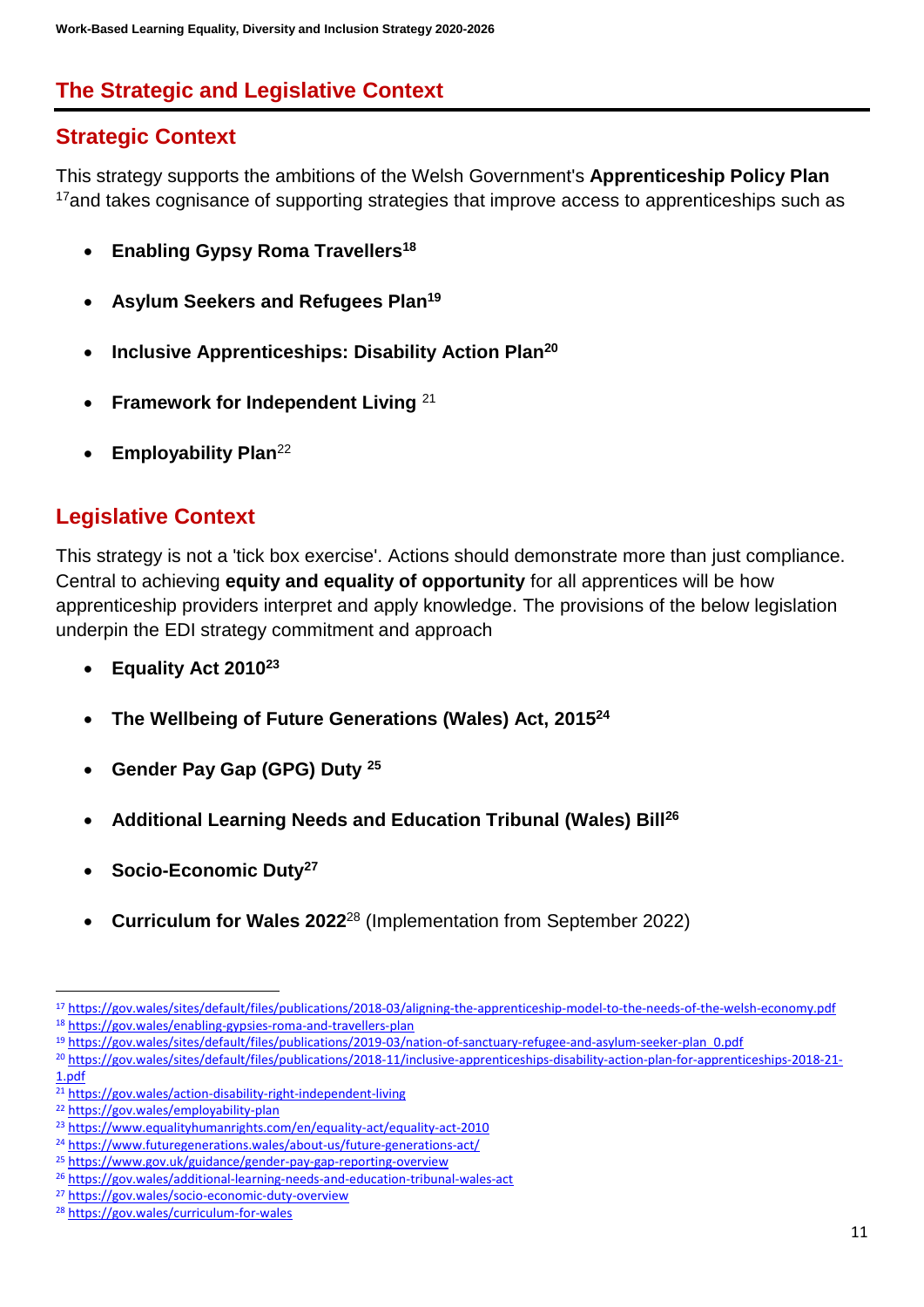## **The Strategic and Legislative Context**

## **Strategic Context**

This strategy supports the ambitions of the Welsh Government's **Apprenticeship Policy Plan** <sup>17</sup> and takes cognisance of supporting strategies that improve access to apprenticeships such as

- **Enabling Gypsy Roma Travellers<sup>18</sup>**
- **Asylum Seekers and Refugees Plan<sup>19</sup>**
- **Inclusive Apprenticeships: Disability Action Plan<sup>20</sup>**
- **Framework for Independent Living** <sup>21</sup>
- **Employability Plan**<sup>22</sup>

## **Legislative Context**

This strategy is not a 'tick box exercise'. Actions should demonstrate more than just compliance. Central to achieving **equity and equality of opportunity** for all apprentices will be how apprenticeship providers interpret and apply knowledge. The provisions of the below legislation underpin the EDI strategy commitment and approach

- **Equality Act 2010<sup>23</sup>**
- **The Wellbeing of Future Generations (Wales) Act, 2015<sup>24</sup>**
- **Gender Pay Gap (GPG) Duty <sup>25</sup>**
- **Additional Learning Needs and Education Tribunal (Wales) Bill<sup>26</sup>**
- **Socio-Economic Duty<sup>27</sup>**
- **Curriculum for Wales 2022**<sup>28</sup> (Implementation from September 2022)

1

<sup>17</sup> <https://gov.wales/sites/default/files/publications/2018-03/aligning-the-apprenticeship-model-to-the-needs-of-the-welsh-economy.pdf> <sup>18</sup> <https://gov.wales/enabling-gypsies-roma-and-travellers-plan>

<sup>19</sup> [https://gov.wales/sites/default/files/publications/2019-03/nation-of-sanctuary-refugee-and-asylum-seeker-plan\\_0.pdf](https://gov.wales/sites/default/files/publications/2019-03/nation-of-sanctuary-refugee-and-asylum-seeker-plan_0.pdf)

<sup>20</sup> [https://gov.wales/sites/default/files/publications/2018-11/inclusive-apprenticeships-disability-action-plan-for-apprenticeships-2018-21-](https://gov.wales/sites/default/files/publications/2018-11/inclusive-apprenticeships-disability-action-plan-for-apprenticeships-2018-21-1.pdf) [1.pdf](https://gov.wales/sites/default/files/publications/2018-11/inclusive-apprenticeships-disability-action-plan-for-apprenticeships-2018-21-1.pdf)

<sup>21</sup> <https://gov.wales/action-disability-right-independent-living>

<sup>22</sup> <https://gov.wales/employability-plan>

<sup>23</sup> <https://www.equalityhumanrights.com/en/equality-act/equality-act-2010>

<sup>24</sup> <https://www.futuregenerations.wales/about-us/future-generations-act/>

<sup>25</sup> <https://www.gov.uk/guidance/gender-pay-gap-reporting-overview>

<sup>26</sup> <https://gov.wales/additional-learning-needs-and-education-tribunal-wales-act>

<sup>27</sup> <https://gov.wales/socio-economic-duty-overview>

<sup>28</sup> <https://gov.wales/curriculum-for-wales>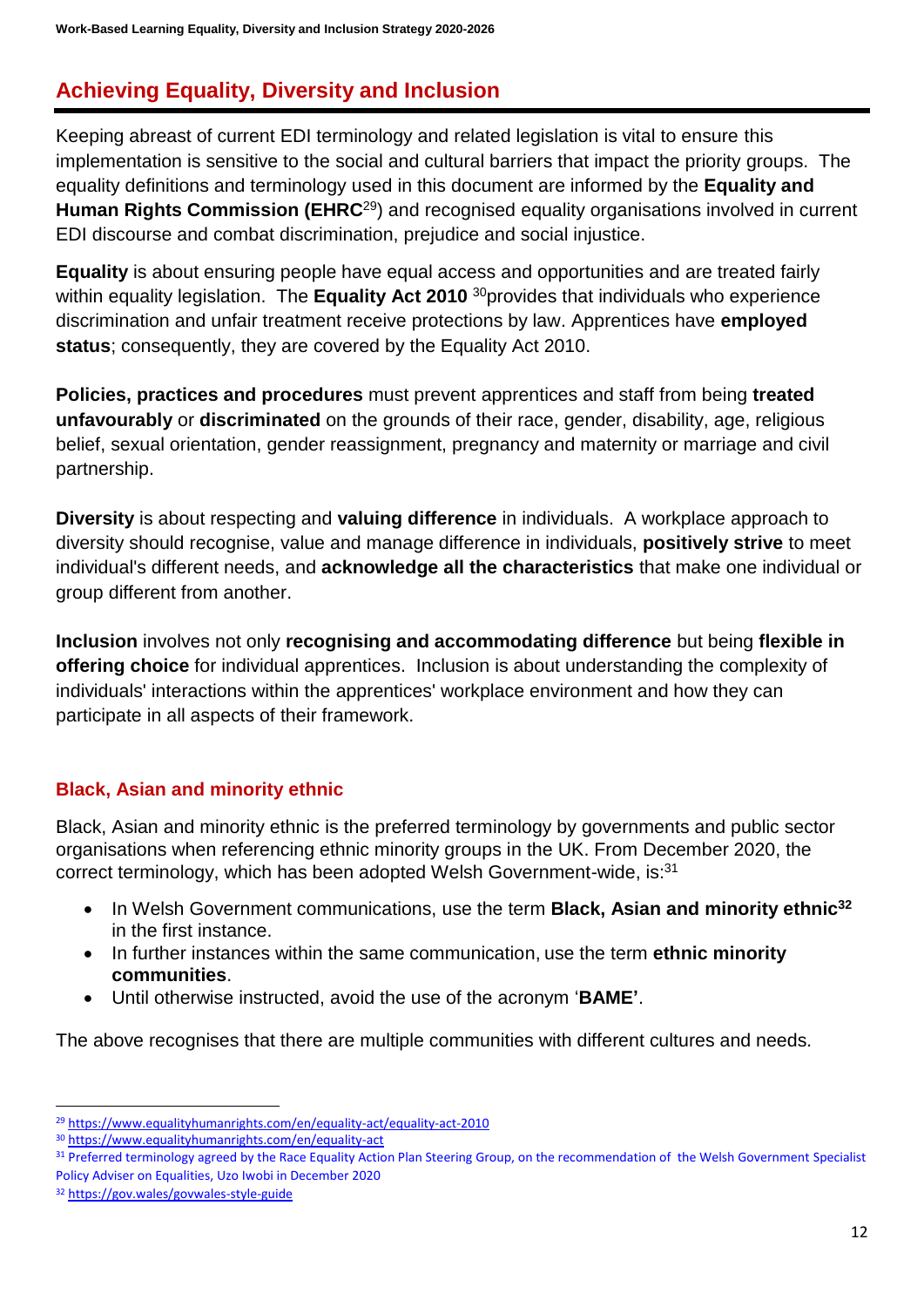## **Achieving Equality, Diversity and Inclusion**

Keeping abreast of current EDI terminology and related legislation is vital to ensure this implementation is sensitive to the social and cultural barriers that impact the priority groups. The equality definitions and terminology used in this document are informed by the **Equality and Human Rights Commission (EHRC**<sup>29</sup>) and recognised equality organisations involved in current EDI discourse and combat discrimination, prejudice and social injustice.

**Equality** is about ensuring people have equal access and opportunities and are treated fairly within equality legislation. The **Equality Act 2010** <sup>30</sup> provides that individuals who experience discrimination and unfair treatment receive protections by law. Apprentices have **employed status**; consequently, they are covered by the Equality Act 2010.

**Policies, practices and procedures** must prevent apprentices and staff from being **treated unfavourably** or **discriminated** on the grounds of their race, gender, disability, age, religious belief, sexual orientation, gender reassignment, pregnancy and maternity or marriage and civil partnership.

**Diversity** is about respecting and **valuing difference** in individuals. A workplace approach to diversity should recognise, value and manage difference in individuals, **positively strive** to meet individual's different needs, and **acknowledge all the characteristics** that make one individual or group different from another.

**Inclusion** involves not only **recognising and accommodating difference** but being **flexible in offering choice** for individual apprentices. Inclusion is about understanding the complexity of individuals' interactions within the apprentices' workplace environment and how they can participate in all aspects of their framework.

#### **Black, Asian and minority ethnic**

Black, Asian and minority ethnic is the preferred terminology by governments and public sector organisations when referencing ethnic minority groups in the UK. From December 2020, the correct terminology, which has been adopted Welsh Government-wide, is:<sup>31</sup>

- In Welsh Government communications, use the term **Black, Asian and minority ethnic<sup>32</sup>** in the first instance.
- In further instances within the same communication, use the term **ethnic minority communities**.
- Until otherwise instructed, avoid the use of the acronym '**BAME'**.

The above recognises that there are multiple communities with different cultures and needs*.*

<sup>32</sup> <https://gov.wales/govwales-style-guide>

 $\overline{\phantom{a}}$ 

<sup>29</sup> <https://www.equalityhumanrights.com/en/equality-act/equality-act-2010>

<sup>30</sup> <https://www.equalityhumanrights.com/en/equality-act>

<sup>31</sup> Preferred terminology agreed by the Race Equality Action Plan Steering Group, on the recommendation of the Welsh Government Specialist Policy Adviser on Equalities, Uzo Iwobi in December 2020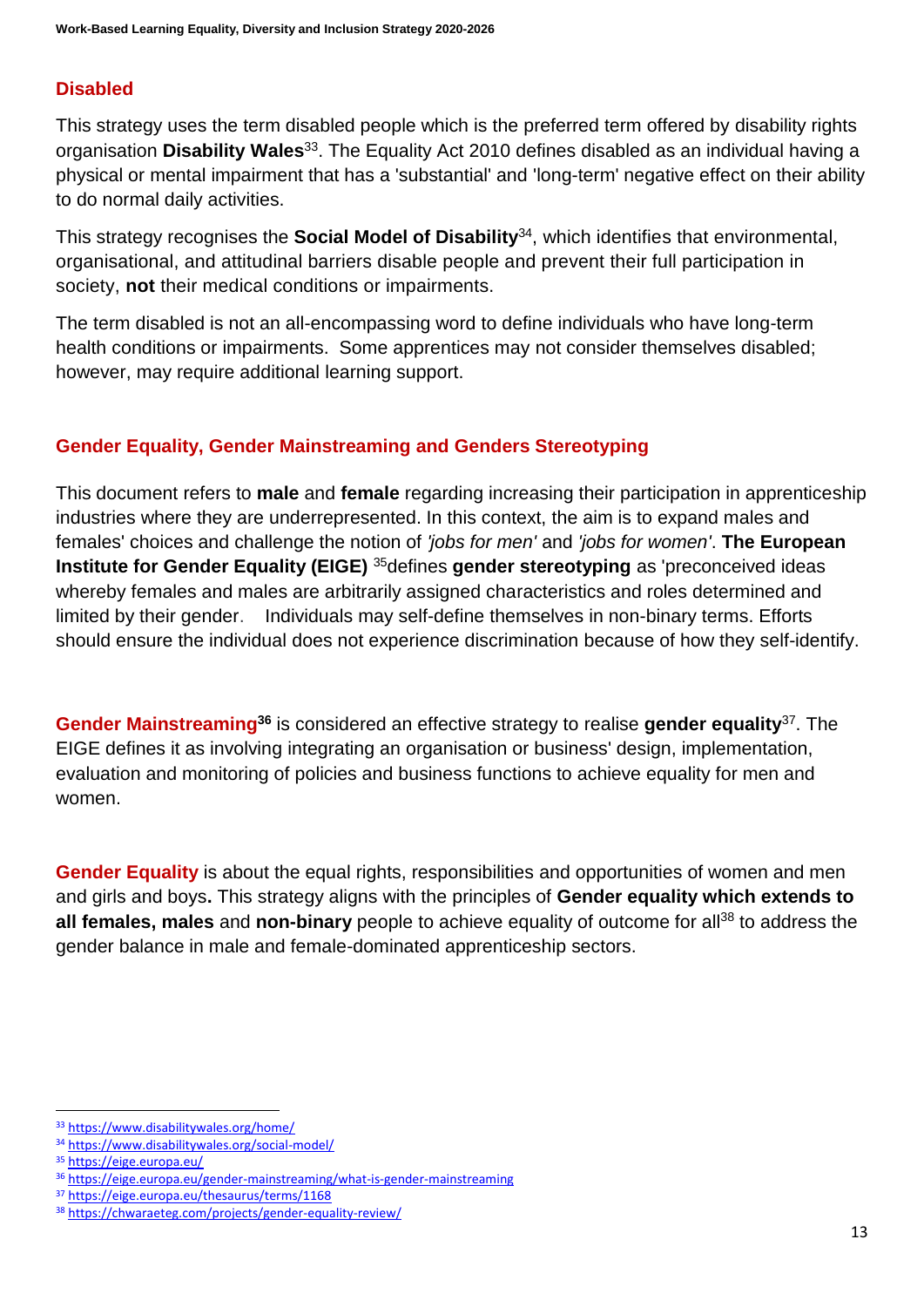#### **Disabled**

This strategy uses the term disabled people which is the preferred term offered by disability rights organisation **Disability Wales**<sup>33</sup>. The Equality Act 2010 defines disabled as an individual having a physical or mental impairment that has a 'substantial' and 'long-term' negative effect on their ability to do normal daily activities.

This strategy recognises the **Social Model of Disability**<sup>34</sup>, which identifies that environmental, organisational, and attitudinal barriers disable people and prevent their full participation in society, **not** their medical conditions or impairments.

The term disabled is not an all-encompassing word to define individuals who have long-term health conditions or impairments. Some apprentices may not consider themselves disabled; however, may require additional learning support.

#### **Gender Equality, Gender Mainstreaming and Genders Stereotyping**

This document refers to **male** and **female** regarding increasing their participation in apprenticeship industries where they are underrepresented. In this context, the aim is to expand males and females' choices and challenge the notion of *'jobs for men'* and *'jobs for women'*. **The European Institute for Gender Equality (EIGE)** <sup>35</sup>defines **gender stereotyping** as 'preconceived ideas whereby females and males are arbitrarily assigned characteristics and roles determined and limited by their gender. Individuals may self-define themselves in non-binary terms. Efforts should ensure the individual does not experience discrimination because of how they self-identify.

**Gender Mainstreaming<sup>36</sup>** is considered an effective strategy to realise **gender equality**<sup>37</sup> . The EIGE defines it as involving integrating an organisation or business' design, implementation, evaluation and monitoring of policies and business functions to achieve equality for men and women.

**Gender Equality** is about the equal rights, responsibilities and opportunities of women and men and girls and boys**.** This strategy aligns with the principles of **Gender equality which extends to all females, males** and **non-binary** people to achieve equality of outcome for all<sup>38</sup> to address the gender balance in male and female-dominated apprenticeship sectors.

 $\overline{\phantom{a}}$ 

<sup>33</sup> <https://www.disabilitywales.org/home/>

<sup>34</sup> <https://www.disabilitywales.org/social-model/>

<sup>35</sup> <https://eige.europa.eu/>

<sup>36</sup> <https://eige.europa.eu/gender-mainstreaming/what-is-gender-mainstreaming>

<sup>37</sup> <https://eige.europa.eu/thesaurus/terms/1168>

<sup>38</sup> <https://chwaraeteg.com/projects/gender-equality-review/>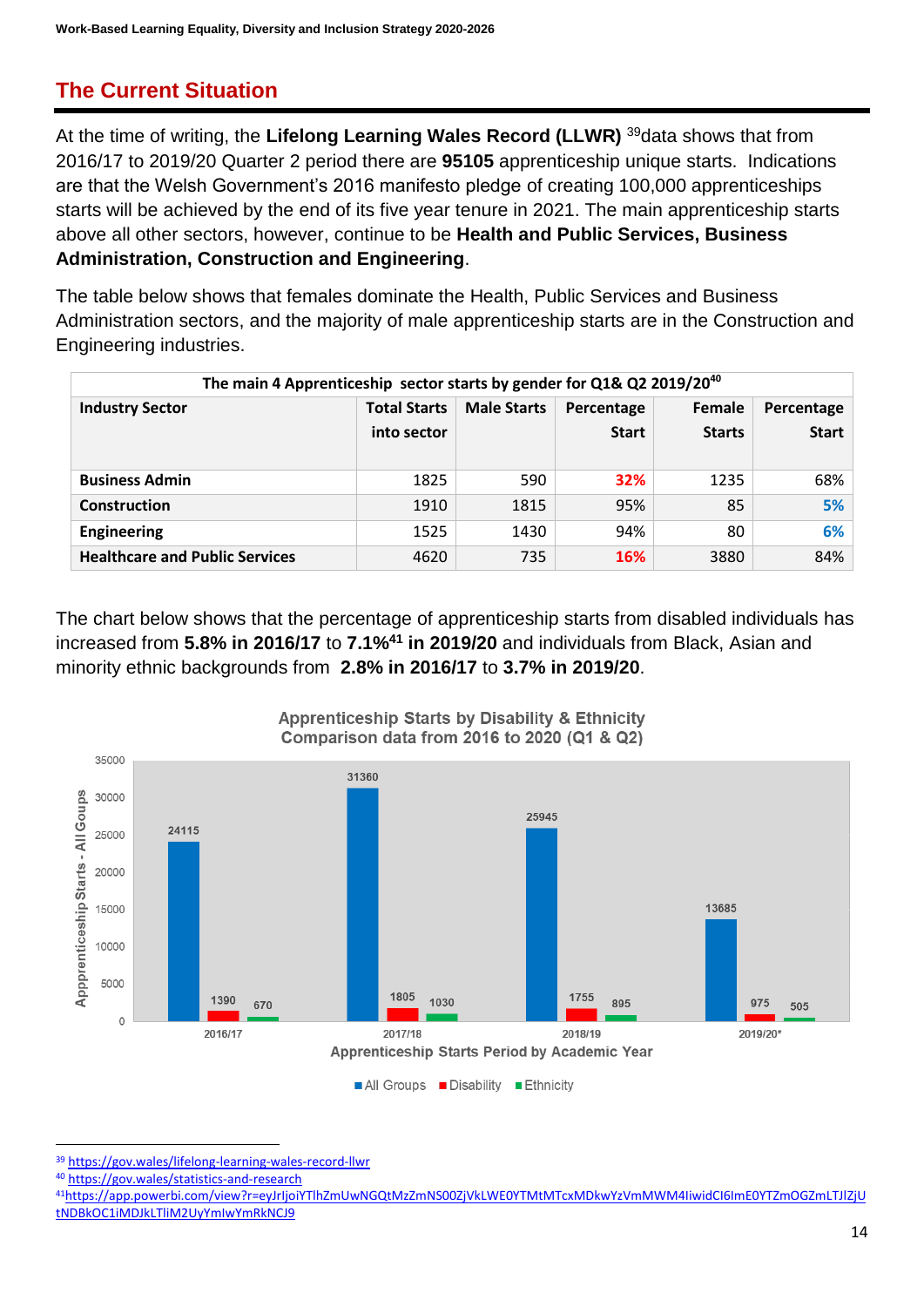### **The Current Situation**

At the time of writing, the **Lifelong Learning Wales Record (LLWR)** <sup>39</sup>data shows that from 2016/17 to 2019/20 Quarter 2 period there are **95105** apprenticeship unique starts. Indications are that the Welsh Government's 2016 manifesto pledge of creating 100,000 apprenticeships starts will be achieved by the end of its five year tenure in 2021. The main apprenticeship starts above all other sectors, however, continue to be **Health and Public Services, Business Administration, Construction and Engineering**.

The table below shows that females dominate the Health, Public Services and Business Administration sectors, and the majority of male apprenticeship starts are in the Construction and Engineering industries.

| The main 4 Apprenticeship sector starts by gender for Q1& Q2 2019/20 <sup>40</sup> |                     |                    |              |               |              |
|------------------------------------------------------------------------------------|---------------------|--------------------|--------------|---------------|--------------|
| <b>Industry Sector</b>                                                             | <b>Total Starts</b> | <b>Male Starts</b> | Percentage   | <b>Female</b> | Percentage   |
|                                                                                    | into sector         |                    | <b>Start</b> | <b>Starts</b> | <b>Start</b> |
|                                                                                    |                     |                    |              |               |              |
| <b>Business Admin</b>                                                              | 1825                | 590                | 32%          | 1235          | 68%          |
| <b>Construction</b>                                                                | 1910                | 1815               | 95%          | 85            | 5%           |
| <b>Engineering</b>                                                                 | 1525                | 1430               | 94%          | 80            | 6%           |
| <b>Healthcare and Public Services</b>                                              | 4620                | 735                | 16%          | 3880          | 84%          |

The chart below shows that the percentage of apprenticeship starts from disabled individuals has increased from **5.8% in 2016/17** to **7.1%<sup>41</sup> in 2019/20** and individuals from Black, Asian and minority ethnic backgrounds from **2.8% in 2016/17** to **3.7% in 2019/20**.



All Groups Disability Ethnicity

<sup>39</sup> <https://gov.wales/lifelong-learning-wales-record-llwr>

<sup>40</sup> <https://gov.wales/statistics-and-research>

<sup>41</sup>[https://app.powerbi.com/view?r=eyJrIjoiYTlhZmUwNGQtMzZmNS00ZjVkLWE0YTMtMTcxMDkwYzVmMWM4IiwidCI6ImE0YTZmOGZmLTJlZjU](https://app.powerbi.com/view?r=eyJrIjoiYTlhZmUwNGQtMzZmNS00ZjVkLWE0YTMtMTcxMDkwYzVmMWM4IiwidCI6ImE0YTZmOGZmLTJlZjUtNDBkOC1iMDJkLTliM2UyYmIwYmRkNCJ9) [tNDBkOC1iMDJkLTliM2UyYmIwYmRkNCJ9](https://app.powerbi.com/view?r=eyJrIjoiYTlhZmUwNGQtMzZmNS00ZjVkLWE0YTMtMTcxMDkwYzVmMWM4IiwidCI6ImE0YTZmOGZmLTJlZjUtNDBkOC1iMDJkLTliM2UyYmIwYmRkNCJ9)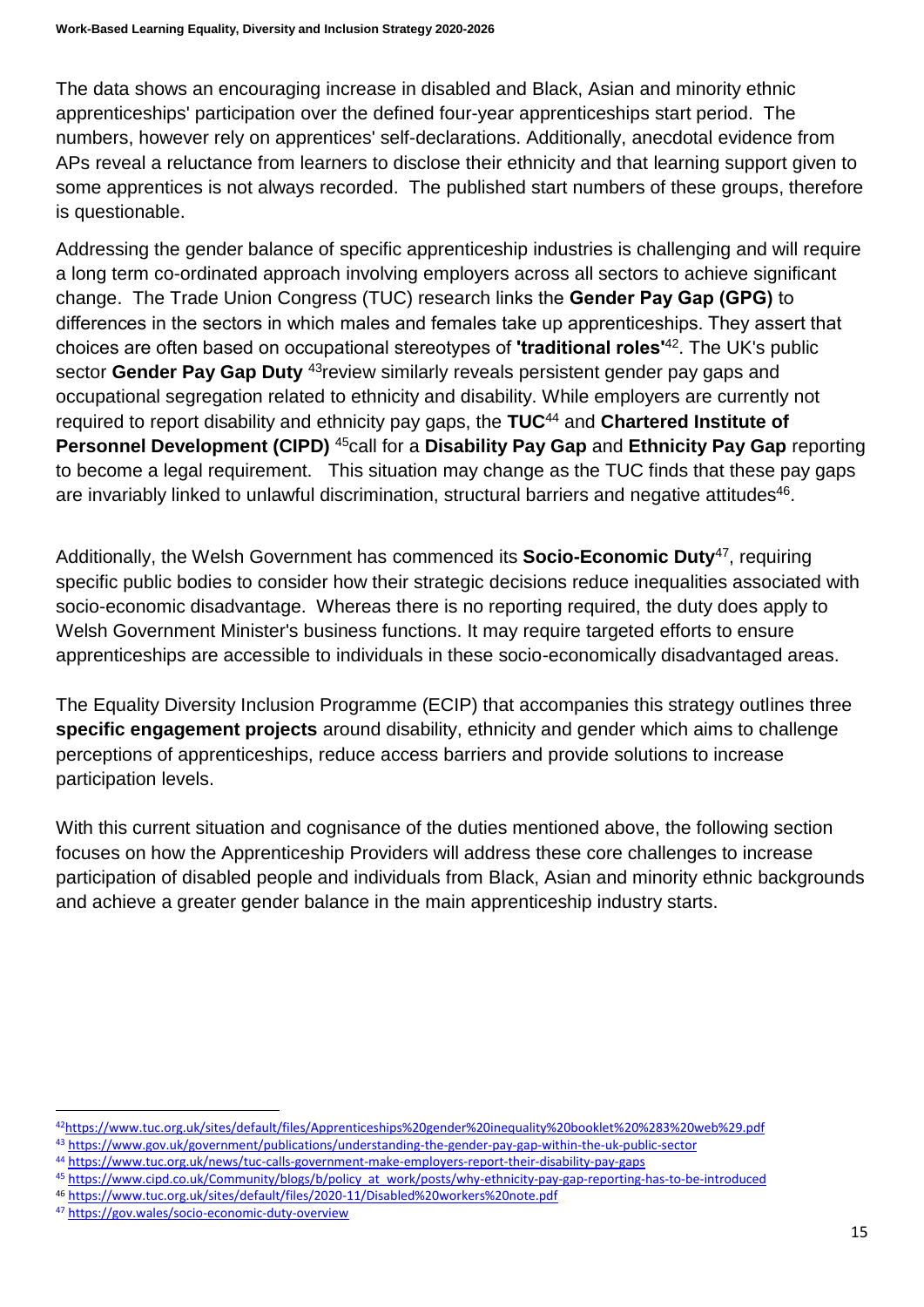The data shows an encouraging increase in disabled and Black, Asian and minority ethnic apprenticeships' participation over the defined four-year apprenticeships start period. The numbers, however rely on apprentices' self-declarations. Additionally, anecdotal evidence from APs reveal a reluctance from learners to disclose their ethnicity and that learning support given to some apprentices is not always recorded. The published start numbers of these groups, therefore is questionable.

Addressing the gender balance of specific apprenticeship industries is challenging and will require a long term co-ordinated approach involving employers across all sectors to achieve significant change. The Trade Union Congress (TUC) research links the **Gender Pay Gap (GPG)** to differences in the sectors in which males and females take up apprenticeships. They assert that choices are often based on occupational stereotypes of **'traditional roles'**<sup>42</sup> . The UK's public sector **Gender Pay Gap Duty** <sup>43</sup>review similarly reveals persistent gender pay gaps and occupational segregation related to ethnicity and disability. While employers are currently not required to report disability and ethnicity pay gaps, the **TUC**<sup>44</sup> and **Chartered Institute of Personnel Development (CIPD)** <sup>45</sup>call for a **Disability Pay Gap** and **Ethnicity Pay Gap** reporting to become a legal requirement. This situation may change as the TUC finds that these pay gaps are invariably linked to unlawful discrimination, structural barriers and negative attitudes<sup>46</sup>.

Additionally, the Welsh Government has commenced its **Socio-Economic Duty**<sup>47</sup>, requiring specific public bodies to consider how their strategic decisions reduce inequalities associated with socio-economic disadvantage. Whereas there is no reporting required, the duty does apply to Welsh Government Minister's business functions. It may require targeted efforts to ensure apprenticeships are accessible to individuals in these socio-economically disadvantaged areas.

The Equality Diversity Inclusion Programme (ECIP) that accompanies this strategy outlines three **specific engagement projects** around disability, ethnicity and gender which aims to challenge perceptions of apprenticeships, reduce access barriers and provide solutions to increase participation levels.

With this current situation and cognisance of the duties mentioned above, the following section focuses on how the Apprenticeship Providers will address these core challenges to increase participation of disabled people and individuals from Black, Asian and minority ethnic backgrounds and achieve a greater gender balance in the main apprenticeship industry starts.

 $\overline{\phantom{a}}$ 

<sup>42</sup><https://www.tuc.org.uk/sites/default/files/Apprenticeships%20gender%20inequality%20booklet%20%283%20web%29.pdf>

<sup>43</sup> <https://www.gov.uk/government/publications/understanding-the-gender-pay-gap-within-the-uk-public-sector>

<sup>44</sup> <https://www.tuc.org.uk/news/tuc-calls-government-make-employers-report-their-disability-pay-gaps>

<sup>45</sup> [https://www.cipd.co.uk/Community/blogs/b/policy\\_at\\_work/posts/why-ethnicity-pay-gap-reporting-has-to-be-introduced](https://www.cipd.co.uk/Community/blogs/b/policy_at_work/posts/why-ethnicity-pay-gap-reporting-has-to-be-introduced)

<sup>46</sup> <https://www.tuc.org.uk/sites/default/files/2020-11/Disabled%20workers%20note.pdf>

<sup>47</sup> <https://gov.wales/socio-economic-duty-overview>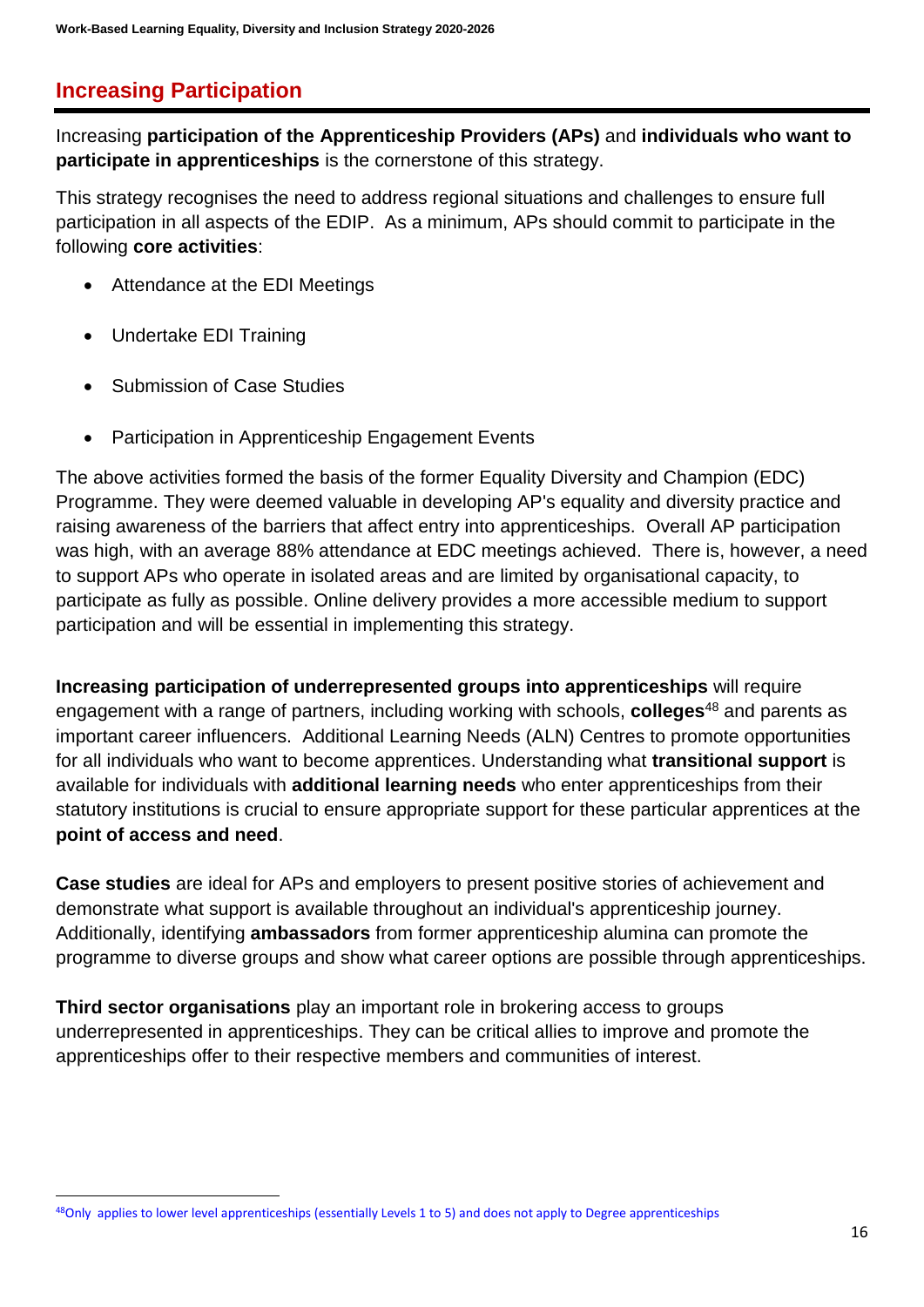## **Increasing Participation**

Increasing **participation of the Apprenticeship Providers (APs)** and **individuals who want to participate in apprenticeships** is the cornerstone of this strategy.

This strategy recognises the need to address regional situations and challenges to ensure full participation in all aspects of the EDIP. As a minimum, APs should commit to participate in the following **core activities**:

- Attendance at the EDI Meetings
- Undertake EDI Training

**.** 

- Submission of Case Studies
- Participation in Apprenticeship Engagement Events

The above activities formed the basis of the former Equality Diversity and Champion (EDC) Programme. They were deemed valuable in developing AP's equality and diversity practice and raising awareness of the barriers that affect entry into apprenticeships. Overall AP participation was high, with an average 88% attendance at EDC meetings achieved. There is, however, a need to support APs who operate in isolated areas and are limited by organisational capacity, to participate as fully as possible. Online delivery provides a more accessible medium to support participation and will be essential in implementing this strategy.

**Increasing participation of underrepresented groups into apprenticeships** will require engagement with a range of partners, including working with schools, **colleges**<sup>48</sup> and parents as important career influencers. Additional Learning Needs (ALN) Centres to promote opportunities for all individuals who want to become apprentices. Understanding what **transitional support** is available for individuals with **additional learning needs** who enter apprenticeships from their statutory institutions is crucial to ensure appropriate support for these particular apprentices at the **point of access and need**.

**Case studies** are ideal for APs and employers to present positive stories of achievement and demonstrate what support is available throughout an individual's apprenticeship journey. Additionally, identifying **ambassadors** from former apprenticeship alumina can promote the programme to diverse groups and show what career options are possible through apprenticeships.

**Third sector organisations** play an important role in brokering access to groups underrepresented in apprenticeships. They can be critical allies to improve and promote the apprenticeships offer to their respective members and communities of interest.

<sup>48</sup>Only applies to lower level apprenticeships (essentially Levels 1 to 5) and does not apply to Degree apprenticeships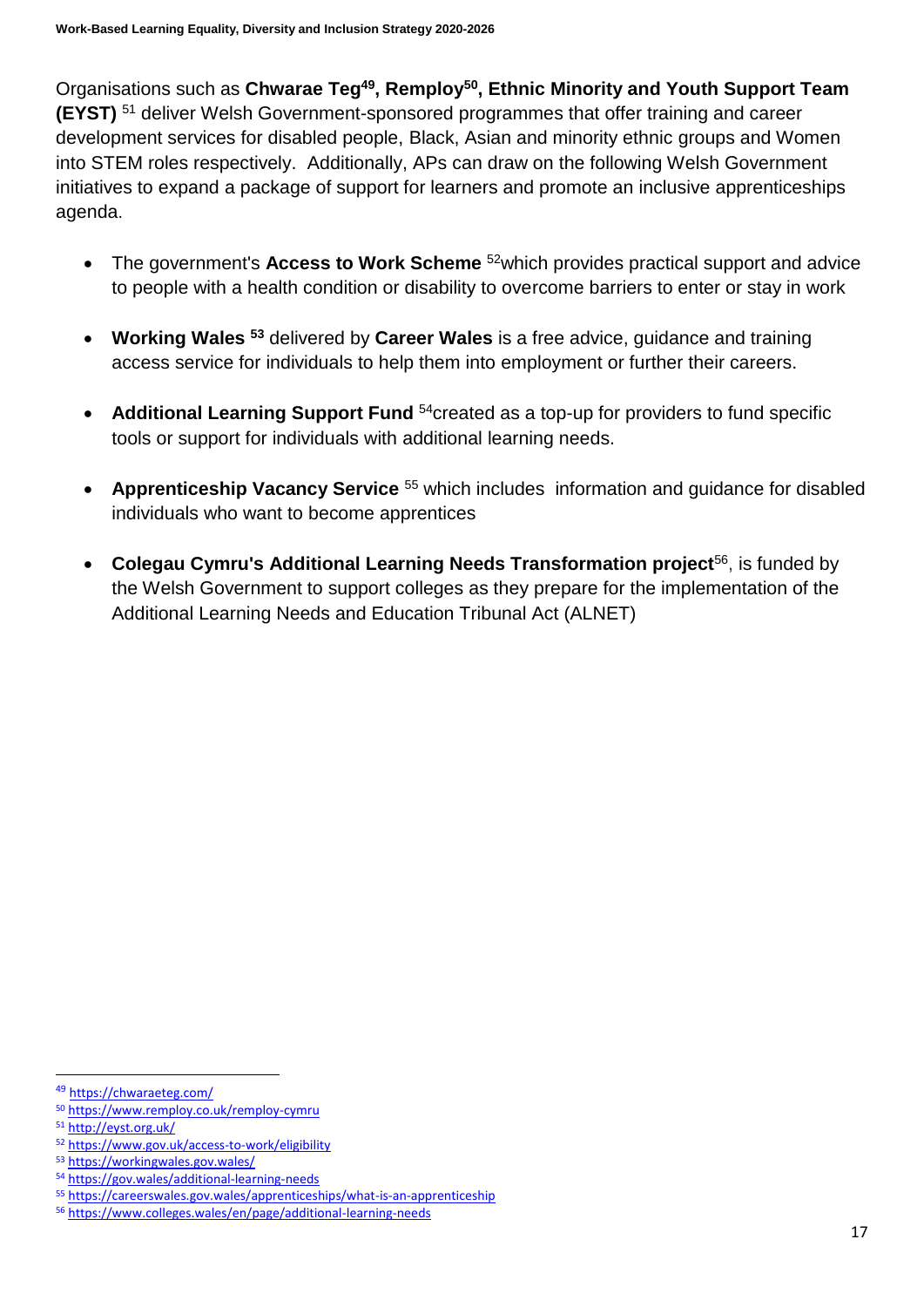Organisations such as **Chwarae Teg<sup>49</sup> , Remploy<sup>50</sup>, Ethnic Minority and Youth Support Team (EYST)** <sup>51</sup> deliver Welsh Government-sponsored programmes that offer training and career development services for disabled people, Black, Asian and minority ethnic groups and Women into STEM roles respectively. Additionally, APs can draw on the following Welsh Government initiatives to expand a package of support for learners and promote an inclusive apprenticeships agenda.

- The government's **Access to Work Scheme** <sup>52</sup>which provides practical support and advice to people with a health condition or disability to overcome barriers to enter or stay in work
- **Working Wales <sup>53</sup>** delivered by **Career Wales** is a free advice, guidance and training access service for individuals to help them into employment or further their careers.
- **Additional Learning Support Fund** <sup>54</sup>created as a top-up for providers to fund specific tools or support for individuals with additional learning needs.
- **Apprenticeship Vacancy Service** <sup>55</sup> which includes information and guidance for disabled individuals who want to become apprentices
- **Colegau Cymru's Additional Learning Needs Transformation project<sup>56</sup>, is funded by** the Welsh Government to support colleges as they prepare for the implementation of the Additional Learning Needs and Education Tribunal Act (ALNET)

1

<sup>49</sup> <https://chwaraeteg.com/>

<sup>50</sup> <https://www.remploy.co.uk/remploy-cymru>

<sup>51</sup> <http://eyst.org.uk/>

<sup>52</sup> <https://www.gov.uk/access-to-work/eligibility>

<sup>53</sup> <https://workingwales.gov.wales/>

<sup>54</sup> <https://gov.wales/additional-learning-needs>

<sup>55</sup> <https://careerswales.gov.wales/apprenticeships/what-is-an-apprenticeship>

<sup>56</sup> <https://www.colleges.wales/en/page/additional-learning-needs>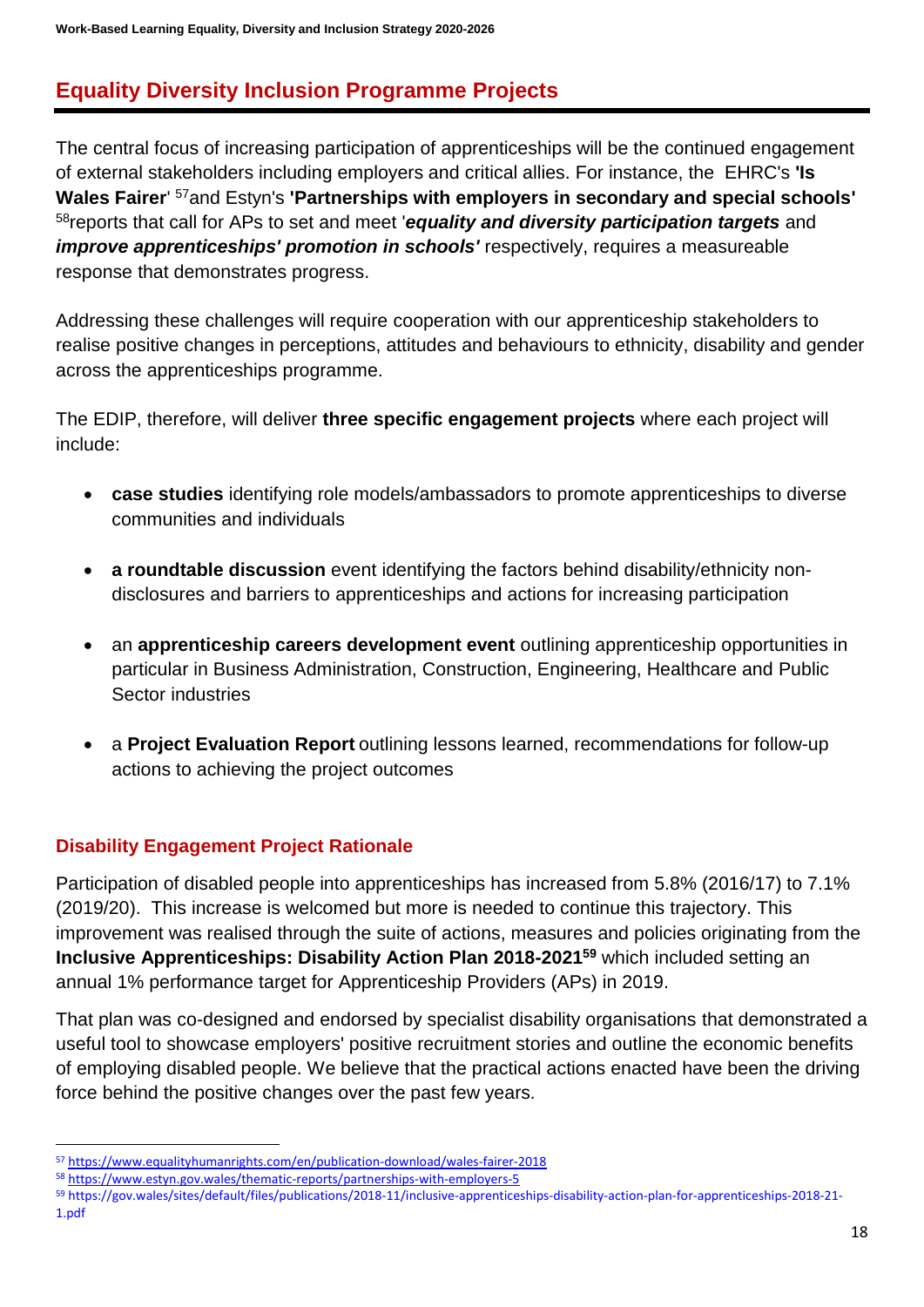## **Equality Diversity Inclusion Programme Projects**

The central focus of increasing participation of apprenticeships will be the continued engagement of external stakeholders including employers and critical allies. For instance, the EHRC's **'Is Wales Fairer**' <sup>57</sup>and Estyn's **'Partnerships with employers in secondary and special schools'**  <sup>58</sup>reports that call for APs to set and meet '*equality and diversity participation targets* and *improve apprenticeships' promotion in schools'* respectively, requires a measureable response that demonstrates progress.

Addressing these challenges will require cooperation with our apprenticeship stakeholders to realise positive changes in perceptions, attitudes and behaviours to ethnicity, disability and gender across the apprenticeships programme.

The EDIP, therefore, will deliver **three specific engagement projects** where each project will include:

- **case studies** identifying role models/ambassadors to promote apprenticeships to diverse communities and individuals
- **a roundtable discussion** event identifying the factors behind disability/ethnicity nondisclosures and barriers to apprenticeships and actions for increasing participation
- an **apprenticeship careers development event** outlining apprenticeship opportunities in particular in Business Administration, Construction, Engineering, Healthcare and Public Sector industries
- a **Project Evaluation Report** outlining lessons learned, recommendations for follow-up actions to achieving the project outcomes

#### **Disability Engagement Project Rationale**

**.** 

Participation of disabled people into apprenticeships has increased from 5.8% (2016/17) to 7.1% (2019/20). This increase is welcomed but more is needed to continue this trajectory. This improvement was realised through the suite of actions, measures and policies originating from the **Inclusive Apprenticeships: Disability Action Plan 2018-2021<sup>59</sup>** which included setting an annual 1% performance target for Apprenticeship Providers (APs) in 2019.

That plan was co-designed and endorsed by specialist disability organisations that demonstrated a useful tool to showcase employers' positive recruitment stories and outline the economic benefits of employing disabled people. We believe that the practical actions enacted have been the driving force behind the positive changes over the past few years*.*

<sup>57</sup> <https://www.equalityhumanrights.com/en/publication-download/wales-fairer-2018>

<sup>58</sup> <https://www.estyn.gov.wales/thematic-reports/partnerships-with-employers-5>

<sup>59</sup> https://gov.wales/sites/default/files/publications/2018-11/inclusive-apprenticeships-disability-action-plan-for-apprenticeships-2018-21- 1.pdf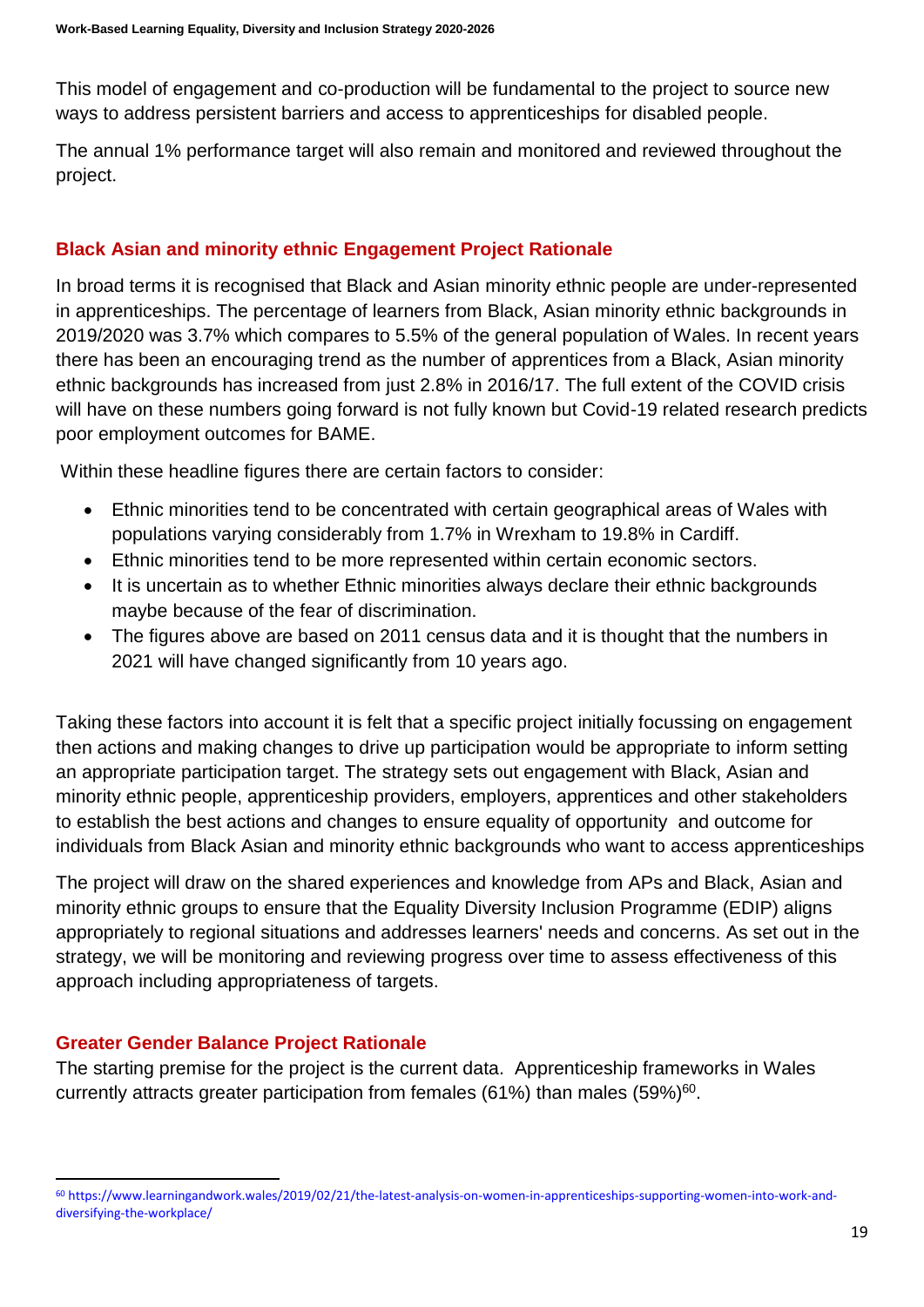This model of engagement and co-production will be fundamental to the project to source new ways to address persistent barriers and access to apprenticeships for disabled people.

The annual 1% performance target will also remain and monitored and reviewed throughout the project.

#### **Black Asian and minority ethnic Engagement Project Rationale**

In broad terms it is recognised that Black and Asian minority ethnic people are under-represented in apprenticeships. The percentage of learners from Black, Asian minority ethnic backgrounds in 2019/2020 was 3.7% which compares to 5.5% of the general population of Wales. In recent years there has been an encouraging trend as the number of apprentices from a Black, Asian minority ethnic backgrounds has increased from just 2.8% in 2016/17. The full extent of the COVID crisis will have on these numbers going forward is not fully known but Covid-19 related research predicts poor employment outcomes for BAME.

Within these headline figures there are certain factors to consider:

- Ethnic minorities tend to be concentrated with certain geographical areas of Wales with populations varying considerably from 1.7% in Wrexham to 19.8% in Cardiff.
- Ethnic minorities tend to be more represented within certain economic sectors.
- It is uncertain as to whether Ethnic minorities always declare their ethnic backgrounds maybe because of the fear of discrimination.
- The figures above are based on 2011 census data and it is thought that the numbers in 2021 will have changed significantly from 10 years ago.

Taking these factors into account it is felt that a specific project initially focussing on engagement then actions and making changes to drive up participation would be appropriate to inform setting an appropriate participation target. The strategy sets out engagement with Black, Asian and minority ethnic people, apprenticeship providers, employers, apprentices and other stakeholders to establish the best actions and changes to ensure equality of opportunity and outcome for individuals from Black Asian and minority ethnic backgrounds who want to access apprenticeships

The project will draw on the shared experiences and knowledge from APs and Black, Asian and minority ethnic groups to ensure that the Equality Diversity Inclusion Programme (EDIP) aligns appropriately to regional situations and addresses learners' needs and concerns. As set out in the strategy, we will be monitoring and reviewing progress over time to assess effectiveness of this approach including appropriateness of targets.

#### **Greater Gender Balance Project Rationale**

**.** 

The starting premise for the project is the current data. Apprenticeship frameworks in Wales currently attracts greater participation from females (61%) than males  $(59%)^{60}$ .

<sup>60</sup> https://www.learningandwork.wales/2019/02/21/the-latest-analysis-on-women-in-apprenticeships-supporting-women-into-work-anddiversifying-the-workplace/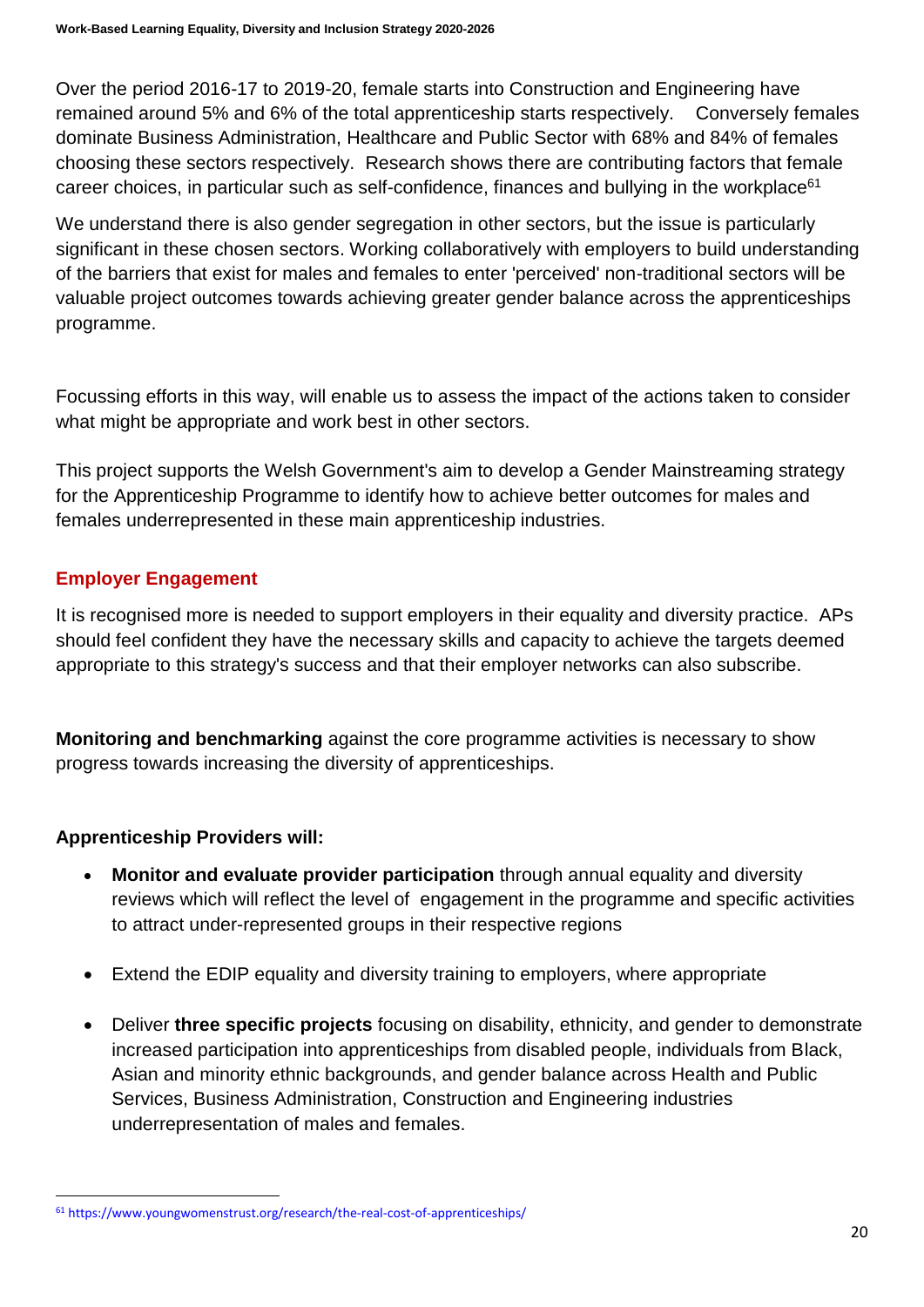Over the period 2016-17 to 2019-20, female starts into Construction and Engineering have remained around 5% and 6% of the total apprenticeship starts respectively. Conversely females dominate Business Administration, Healthcare and Public Sector with 68% and 84% of females choosing these sectors respectively. Research shows there are contributing factors that female career choices, in particular such as self-confidence, finances and bullying in the workplace<sup>61</sup>

We understand there is also gender segregation in other sectors, but the issue is particularly significant in these chosen sectors. Working collaboratively with employers to build understanding of the barriers that exist for males and females to enter 'perceived' non-traditional sectors will be valuable project outcomes towards achieving greater gender balance across the apprenticeships programme.

Focussing efforts in this way, will enable us to assess the impact of the actions taken to consider what might be appropriate and work best in other sectors.

This project supports the Welsh Government's aim to develop a Gender Mainstreaming strategy for the Apprenticeship Programme to identify how to achieve better outcomes for males and females underrepresented in these main apprenticeship industries.

#### **Employer Engagement**

It is recognised more is needed to support employers in their equality and diversity practice. APs should feel confident they have the necessary skills and capacity to achieve the targets deemed appropriate to this strategy's success and that their employer networks can also subscribe.

**Monitoring and benchmarking** against the core programme activities is necessary to show progress towards increasing the diversity of apprenticeships.

#### **Apprenticeship Providers will:**

- **Monitor and evaluate provider participation** through annual equality and diversity reviews which will reflect the level of engagement in the programme and specific activities to attract under-represented groups in their respective regions
- Extend the EDIP equality and diversity training to employers, where appropriate
- Deliver **three specific projects** focusing on disability, ethnicity, and gender to demonstrate increased participation into apprenticeships from disabled people, individuals from Black, Asian and minority ethnic backgrounds, and gender balance across Health and Public Services, Business Administration, Construction and Engineering industries underrepresentation of males and females.

<sup>61</sup> https://www.youngwomenstrust.org/research/the-real-cost-of-apprenticeships/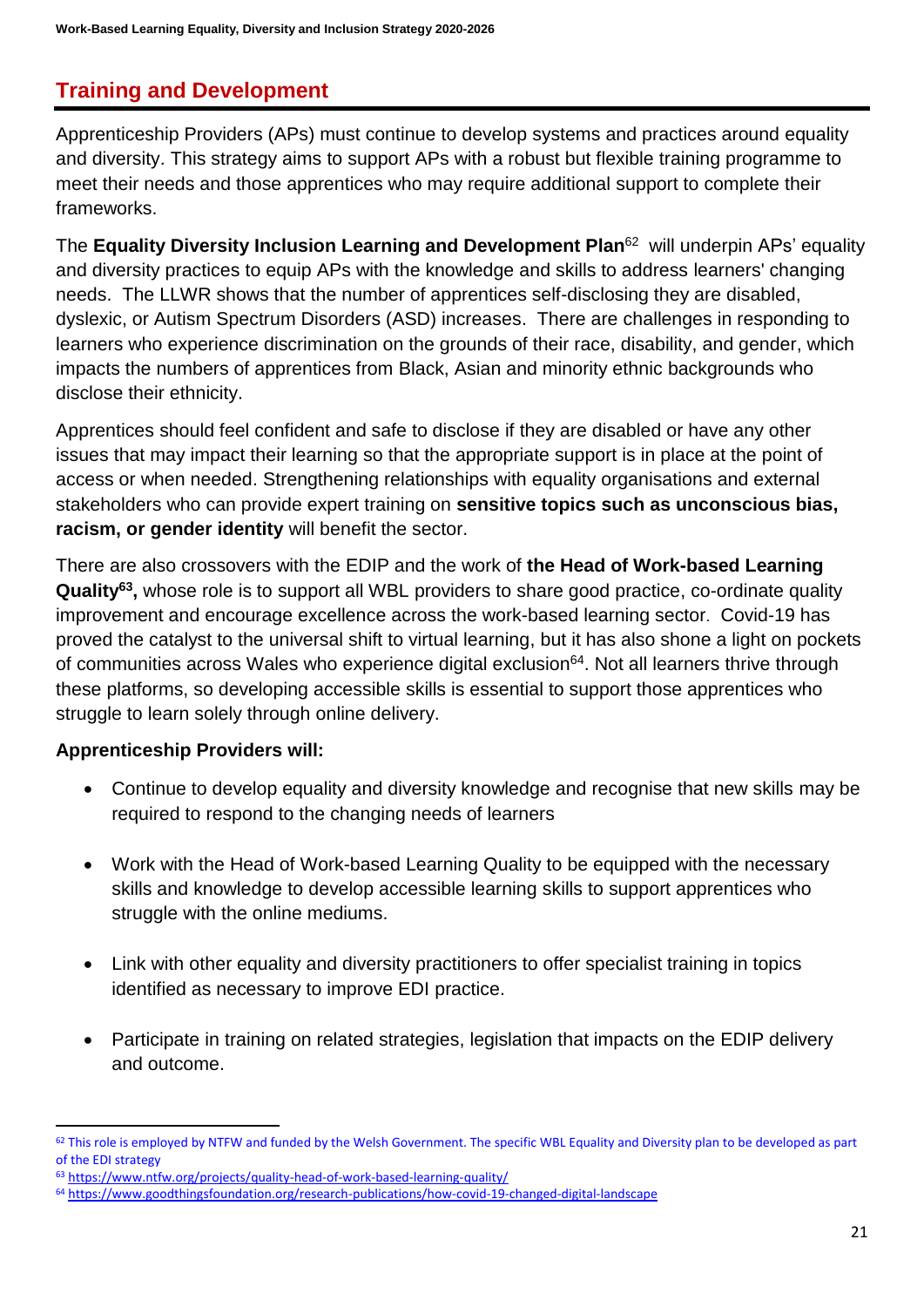## **Training and Development**

Apprenticeship Providers (APs) must continue to develop systems and practices around equality and diversity. This strategy aims to support APs with a robust but flexible training programme to meet their needs and those apprentices who may require additional support to complete their frameworks.

The **Equality Diversity Inclusion Learning and Development Plan**<sup>62</sup> will underpin APs' equality and diversity practices to equip APs with the knowledge and skills to address learners' changing needs. The LLWR shows that the number of apprentices self-disclosing they are disabled, dyslexic, or Autism Spectrum Disorders (ASD) increases. There are challenges in responding to learners who experience discrimination on the grounds of their race, disability, and gender, which impacts the numbers of apprentices from Black, Asian and minority ethnic backgrounds who disclose their ethnicity.

Apprentices should feel confident and safe to disclose if they are disabled or have any other issues that may impact their learning so that the appropriate support is in place at the point of access or when needed. Strengthening relationships with equality organisations and external stakeholders who can provide expert training on **sensitive topics such as unconscious bias, racism, or gender identity** will benefit the sector.

There are also crossovers with the EDIP and the work of **the Head of Work-based Learning Quality<sup>63</sup> ,** whose role is to support all WBL providers to share good practice, co-ordinate quality improvement and encourage excellence across the work-based learning sector. Covid-19 has proved the catalyst to the universal shift to virtual learning, but it has also shone a light on pockets of communities across Wales who experience digital exclusion<sup>64</sup>. Not all learners thrive through these platforms, so developing accessible skills is essential to support those apprentices who struggle to learn solely through online delivery.

#### **Apprenticeship Providers will:**

1

- Continue to develop equality and diversity knowledge and recognise that new skills may be required to respond to the changing needs of learners
- Work with the Head of Work-based Learning Quality to be equipped with the necessary skills and knowledge to develop accessible learning skills to support apprentices who struggle with the online mediums.
- Link with other equality and diversity practitioners to offer specialist training in topics identified as necessary to improve EDI practice.
- Participate in training on related strategies, legislation that impacts on the EDIP delivery and outcome.

<sup>62</sup> This role is employed by NTFW and funded by the Welsh Government. The specific WBL Equality and Diversity plan to be developed as part of the EDI strategy

<sup>63</sup> <https://www.ntfw.org/projects/quality-head-of-work-based-learning-quality/>

<sup>64</sup> <https://www.goodthingsfoundation.org/research-publications/how-covid-19-changed-digital-landscape>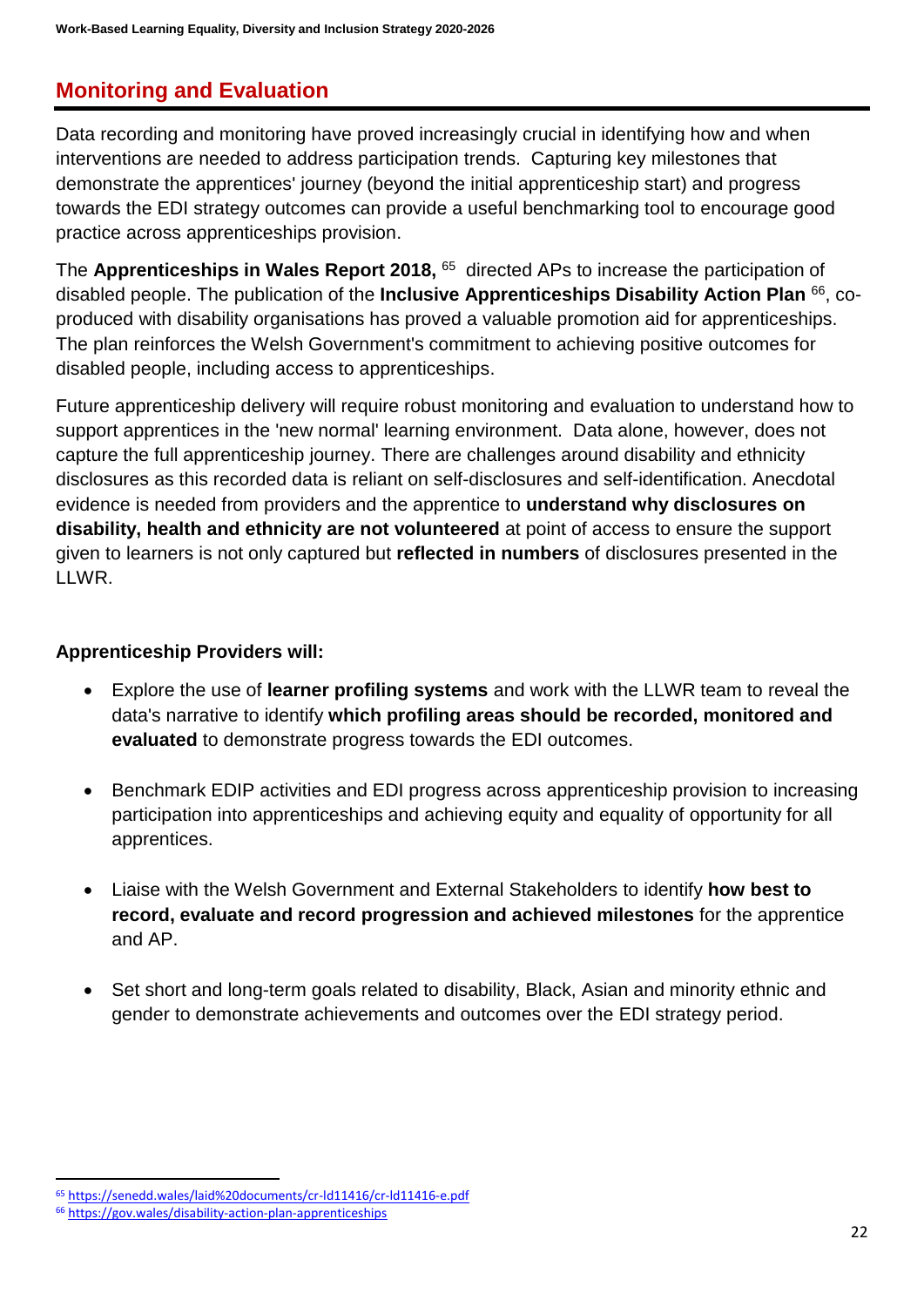#### **Monitoring and Evaluation**

Data recording and monitoring have proved increasingly crucial in identifying how and when interventions are needed to address participation trends. Capturing key milestones that demonstrate the apprentices' journey (beyond the initial apprenticeship start) and progress towards the EDI strategy outcomes can provide a useful benchmarking tool to encourage good practice across apprenticeships provision.

The **Apprenticeships in Wales Report 2018,** <sup>65</sup> directed APs to increase the participation of disabled people. The publication of the **Inclusive Apprenticeships Disability Action Plan** <sup>66</sup> , coproduced with disability organisations has proved a valuable promotion aid for apprenticeships. The plan reinforces the Welsh Government's commitment to achieving positive outcomes for disabled people, including access to apprenticeships.

Future apprenticeship delivery will require robust monitoring and evaluation to understand how to support apprentices in the 'new normal' learning environment. Data alone, however, does not capture the full apprenticeship journey. There are challenges around disability and ethnicity disclosures as this recorded data is reliant on self-disclosures and self-identification. Anecdotal evidence is needed from providers and the apprentice to **understand why disclosures on disability, health and ethnicity are not volunteered** at point of access to ensure the support given to learners is not only captured but **reflected in numbers** of disclosures presented in the LLWR.

#### **Apprenticeship Providers will:**

- Explore the use of **learner profiling systems** and work with the LLWR team to reveal the data's narrative to identify **which profiling areas should be recorded, monitored and evaluated** to demonstrate progress towards the EDI outcomes.
- Benchmark EDIP activities and EDI progress across apprenticeship provision to increasing participation into apprenticeships and achieving equity and equality of opportunity for all apprentices.
- Liaise with the Welsh Government and External Stakeholders to identify **how best to record, evaluate and record progression and achieved milestones** for the apprentice and AP.
- Set short and long-term goals related to disability, Black, Asian and minority ethnic and gender to demonstrate achievements and outcomes over the EDI strategy period.

<sup>65</sup> <https://senedd.wales/laid%20documents/cr-ld11416/cr-ld11416-e.pdf>

<sup>66</sup> <https://gov.wales/disability-action-plan-apprenticeships>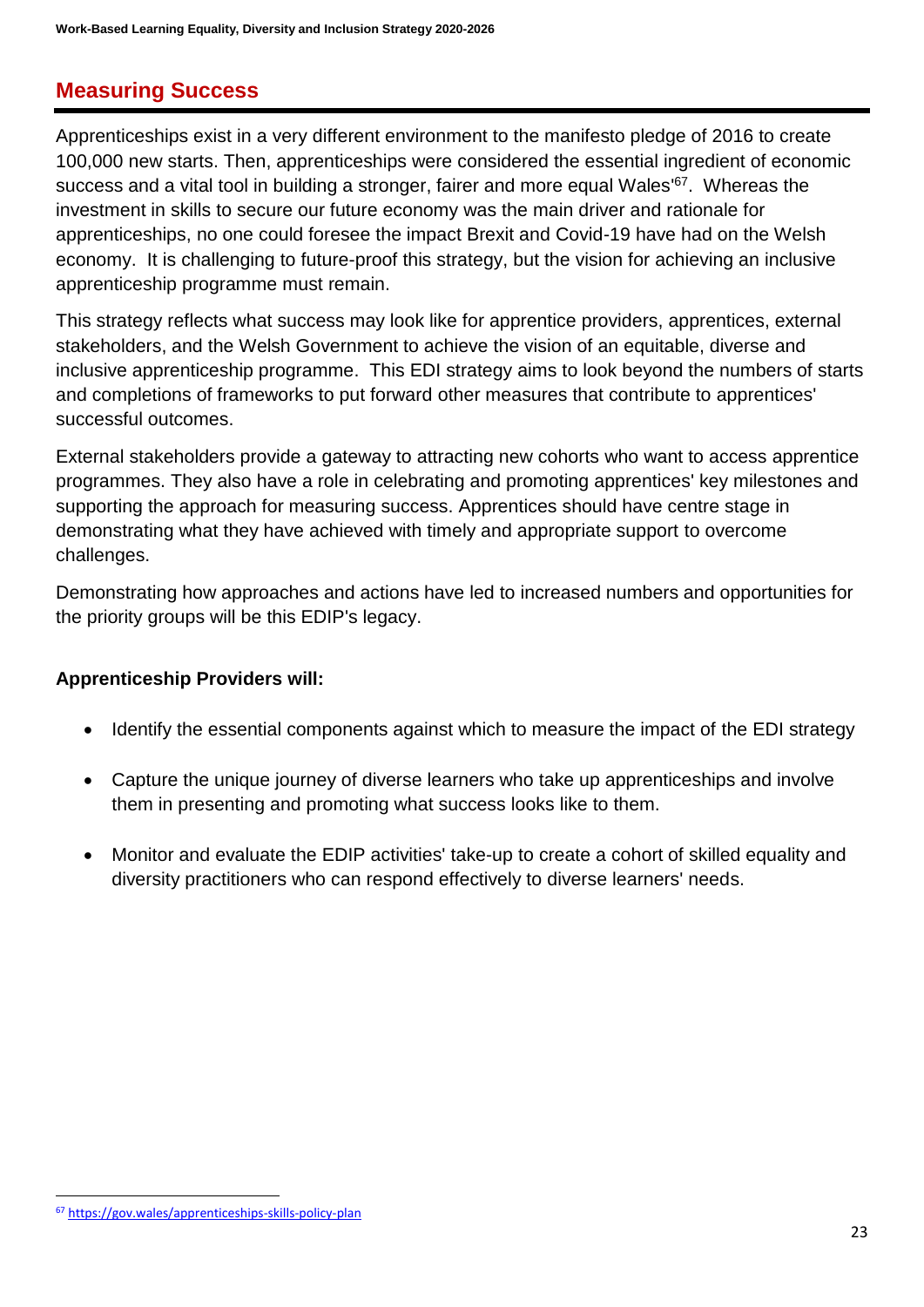## **Measuring Success**

Apprenticeships exist in a very different environment to the manifesto pledge of 2016 to create 100,000 new starts. Then, apprenticeships were considered the essential ingredient of economic success and a vital tool in building a stronger, fairer and more equal Wales'<sup>67</sup>. Whereas the investment in skills to secure our future economy was the main driver and rationale for apprenticeships, no one could foresee the impact Brexit and Covid-19 have had on the Welsh economy. It is challenging to future-proof this strategy, but the vision for achieving an inclusive apprenticeship programme must remain.

This strategy reflects what success may look like for apprentice providers, apprentices, external stakeholders, and the Welsh Government to achieve the vision of an equitable, diverse and inclusive apprenticeship programme. This EDI strategy aims to look beyond the numbers of starts and completions of frameworks to put forward other measures that contribute to apprentices' successful outcomes.

External stakeholders provide a gateway to attracting new cohorts who want to access apprentice programmes. They also have a role in celebrating and promoting apprentices' key milestones and supporting the approach for measuring success. Apprentices should have centre stage in demonstrating what they have achieved with timely and appropriate support to overcome challenges.

Demonstrating how approaches and actions have led to increased numbers and opportunities for the priority groups will be this EDIP's legacy.

#### **Apprenticeship Providers will:**

- Identify the essential components against which to measure the impact of the EDI strategy
- Capture the unique journey of diverse learners who take up apprenticeships and involve them in presenting and promoting what success looks like to them.
- Monitor and evaluate the EDIP activities' take-up to create a cohort of skilled equality and diversity practitioners who can respond effectively to diverse learners' needs.

<sup>67</sup> <https://gov.wales/apprenticeships-skills-policy-plan>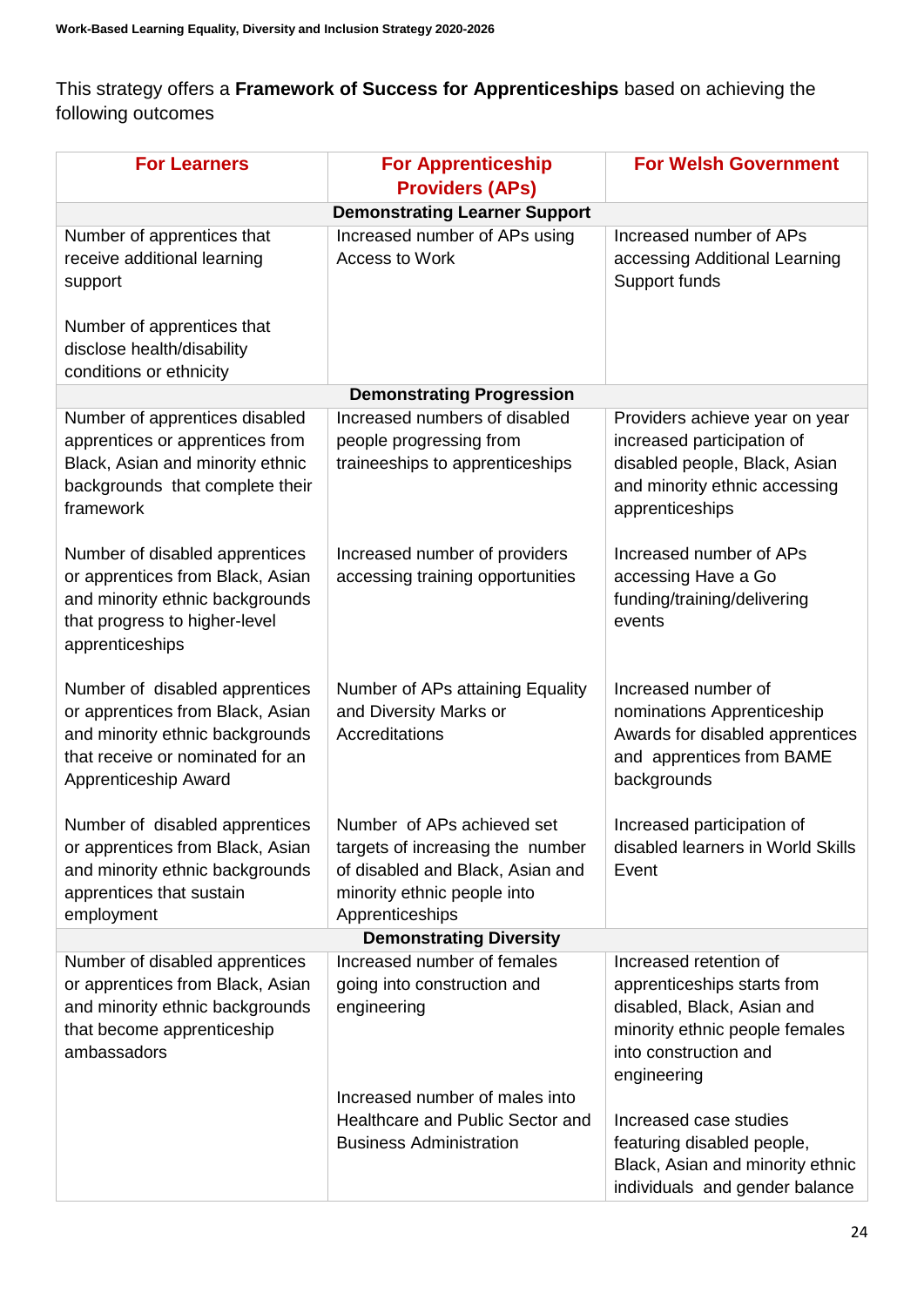This strategy offers a **Framework of Success for Apprenticeships** based on achieving the following outcomes

| <b>For Learners</b>                                                                                                                                               | <b>For Apprenticeship</b><br><b>Providers (APs)</b>                                                                                                                               | <b>For Welsh Government</b>                                                                                                                                                                                                                                                                 |  |  |
|-------------------------------------------------------------------------------------------------------------------------------------------------------------------|-----------------------------------------------------------------------------------------------------------------------------------------------------------------------------------|---------------------------------------------------------------------------------------------------------------------------------------------------------------------------------------------------------------------------------------------------------------------------------------------|--|--|
| <b>Demonstrating Learner Support</b>                                                                                                                              |                                                                                                                                                                                   |                                                                                                                                                                                                                                                                                             |  |  |
| Number of apprentices that<br>receive additional learning<br>support<br>Number of apprentices that<br>disclose health/disability<br>conditions or ethnicity       | Increased number of APs using<br>Access to Work                                                                                                                                   | Increased number of APs<br>accessing Additional Learning<br>Support funds                                                                                                                                                                                                                   |  |  |
|                                                                                                                                                                   | <b>Demonstrating Progression</b>                                                                                                                                                  |                                                                                                                                                                                                                                                                                             |  |  |
| Number of apprentices disabled                                                                                                                                    | Increased numbers of disabled                                                                                                                                                     | Providers achieve year on year                                                                                                                                                                                                                                                              |  |  |
| apprentices or apprentices from<br>Black, Asian and minority ethnic<br>backgrounds that complete their<br>framework                                               | people progressing from<br>traineeships to apprenticeships                                                                                                                        | increased participation of<br>disabled people, Black, Asian<br>and minority ethnic accessing<br>apprenticeships                                                                                                                                                                             |  |  |
| Number of disabled apprentices<br>or apprentices from Black, Asian<br>and minority ethnic backgrounds<br>that progress to higher-level<br>apprenticeships         | Increased number of providers<br>accessing training opportunities                                                                                                                 | Increased number of APs<br>accessing Have a Go<br>funding/training/delivering<br>events                                                                                                                                                                                                     |  |  |
| Number of disabled apprentices<br>or apprentices from Black, Asian<br>and minority ethnic backgrounds<br>that receive or nominated for an<br>Apprenticeship Award | Number of APs attaining Equality<br>and Diversity Marks or<br>Accreditations                                                                                                      | Increased number of<br>nominations Apprenticeship<br>Awards for disabled apprentices<br>and apprentices from BAME<br>backgrounds                                                                                                                                                            |  |  |
| Number of disabled apprentices<br>or apprentices from Black, Asian<br>and minority ethnic backgrounds<br>apprentices that sustain<br>employment                   | Number of APs achieved set<br>targets of increasing the number<br>of disabled and Black, Asian and<br>minority ethnic people into<br>Apprenticeships                              | Increased participation of<br>disabled learners in World Skills<br>Event                                                                                                                                                                                                                    |  |  |
| <b>Demonstrating Diversity</b>                                                                                                                                    |                                                                                                                                                                                   |                                                                                                                                                                                                                                                                                             |  |  |
| Number of disabled apprentices<br>or apprentices from Black, Asian<br>and minority ethnic backgrounds<br>that become apprenticeship<br>ambassadors                | Increased number of females<br>going into construction and<br>engineering<br>Increased number of males into<br>Healthcare and Public Sector and<br><b>Business Administration</b> | Increased retention of<br>apprenticeships starts from<br>disabled, Black, Asian and<br>minority ethnic people females<br>into construction and<br>engineering<br>Increased case studies<br>featuring disabled people,<br>Black, Asian and minority ethnic<br>individuals and gender balance |  |  |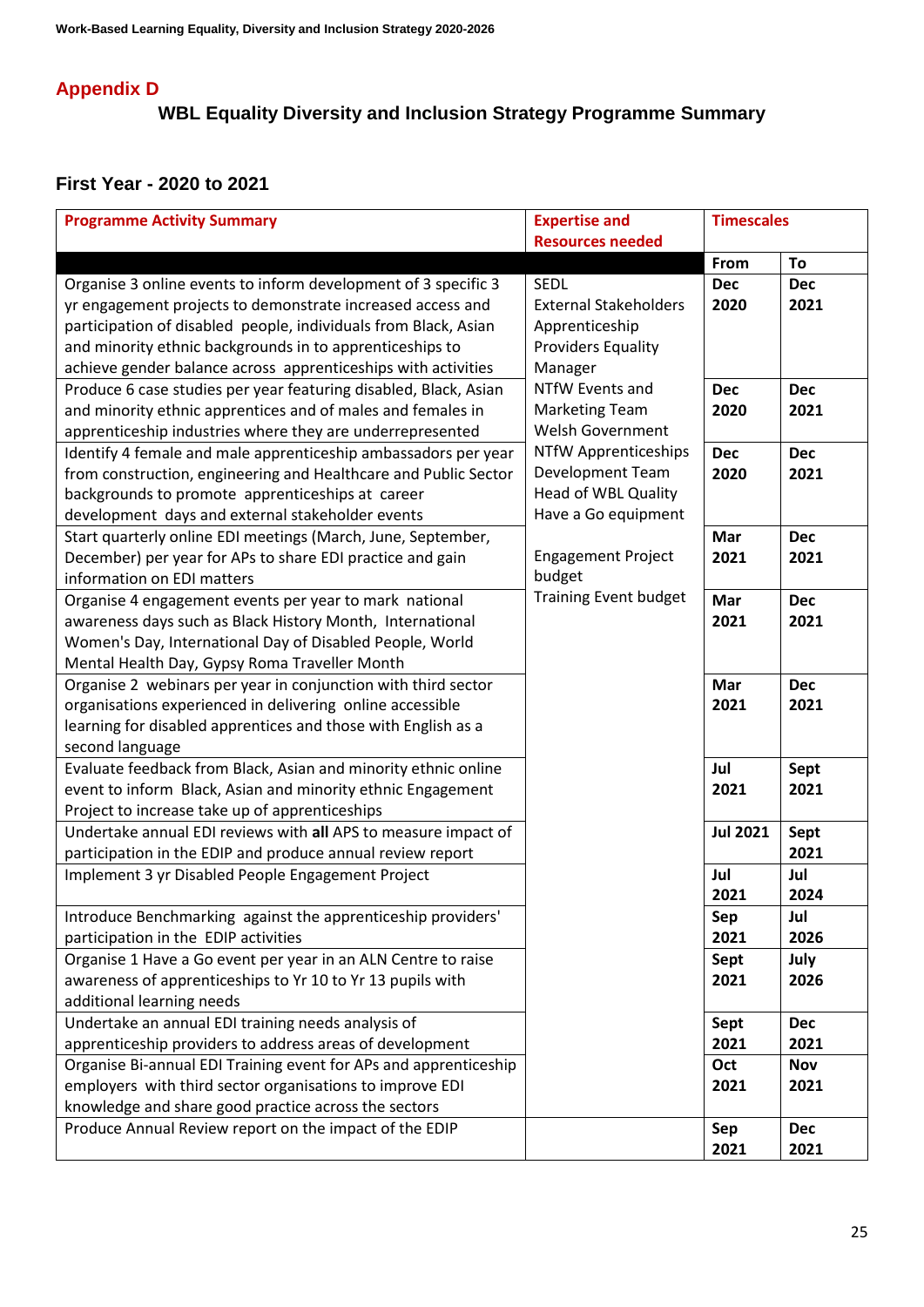## **Appendix D**

#### **WBL Equality Diversity and Inclusion Strategy Programme Summary**

## **First Year - 2020 to 2021**

| <b>Programme Activity Summary</b>                                | <b>Expertise and</b>         | <b>Timescales</b> |            |
|------------------------------------------------------------------|------------------------------|-------------------|------------|
|                                                                  | <b>Resources needed</b>      |                   |            |
|                                                                  |                              | From              | To         |
| Organise 3 online events to inform development of 3 specific 3   | <b>SEDL</b>                  | <b>Dec</b>        | <b>Dec</b> |
| yr engagement projects to demonstrate increased access and       | <b>External Stakeholders</b> | 2020              | 2021       |
| participation of disabled people, individuals from Black, Asian  | Apprenticeship               |                   |            |
| and minority ethnic backgrounds in to apprenticeships to         | <b>Providers Equality</b>    |                   |            |
| achieve gender balance across apprenticeships with activities    | Manager                      |                   |            |
| Produce 6 case studies per year featuring disabled, Black, Asian | NTfW Events and              | <b>Dec</b>        | <b>Dec</b> |
| and minority ethnic apprentices and of males and females in      | <b>Marketing Team</b>        | 2020              | 2021       |
| apprenticeship industries where they are underrepresented        | <b>Welsh Government</b>      |                   |            |
| Identify 4 female and male apprenticeship ambassadors per year   | NTfW Apprenticeships         | <b>Dec</b>        | <b>Dec</b> |
| from construction, engineering and Healthcare and Public Sector  | Development Team             | 2020              | 2021       |
| backgrounds to promote apprenticeships at career                 | Head of WBL Quality          |                   |            |
| development days and external stakeholder events                 | Have a Go equipment          |                   |            |
| Start quarterly online EDI meetings (March, June, September,     |                              | Mar               | <b>Dec</b> |
| December) per year for APs to share EDI practice and gain        | <b>Engagement Project</b>    | 2021              | 2021       |
| information on EDI matters                                       | budget                       |                   |            |
| Organise 4 engagement events per year to mark national           | <b>Training Event budget</b> | Mar               | <b>Dec</b> |
| awareness days such as Black History Month, International        |                              | 2021              | 2021       |
| Women's Day, International Day of Disabled People, World         |                              |                   |            |
| Mental Health Day, Gypsy Roma Traveller Month                    |                              |                   |            |
| Organise 2 webinars per year in conjunction with third sector    |                              | Mar               | <b>Dec</b> |
| organisations experienced in delivering online accessible        |                              | 2021              | 2021       |
| learning for disabled apprentices and those with English as a    |                              |                   |            |
| second language                                                  |                              |                   |            |
| Evaluate feedback from Black, Asian and minority ethnic online   |                              | Jul               | Sept       |
| event to inform Black, Asian and minority ethnic Engagement      |                              | 2021              | 2021       |
| Project to increase take up of apprenticeships                   |                              |                   |            |
| Undertake annual EDI reviews with all APS to measure impact of   |                              | <b>Jul 2021</b>   | Sept       |
| participation in the EDIP and produce annual review report       |                              |                   | 2021       |
| Implement 3 yr Disabled People Engagement Project                |                              | Jul               | Jul        |
|                                                                  |                              | 2021              | 2024       |
| Introduce Benchmarking against the apprenticeship providers'     |                              | Sep               | Jul        |
| participation in the EDIP activities                             |                              | 2021              | 2026       |
| Organise 1 Have a Go event per year in an ALN Centre to raise    |                              | Sept              | July       |
| awareness of apprenticeships to Yr 10 to Yr 13 pupils with       |                              | 2021              | 2026       |
| additional learning needs                                        |                              |                   |            |
| Undertake an annual EDI training needs analysis of               |                              | Sept              | <b>Dec</b> |
| apprenticeship providers to address areas of development         |                              | 2021              | 2021       |
| Organise Bi-annual EDI Training event for APs and apprenticeship |                              | Oct               | <b>Nov</b> |
| employers with third sector organisations to improve EDI         |                              | 2021              | 2021       |
| knowledge and share good practice across the sectors             |                              |                   |            |
| Produce Annual Review report on the impact of the EDIP           |                              | Sep               | <b>Dec</b> |
|                                                                  |                              | 2021              | 2021       |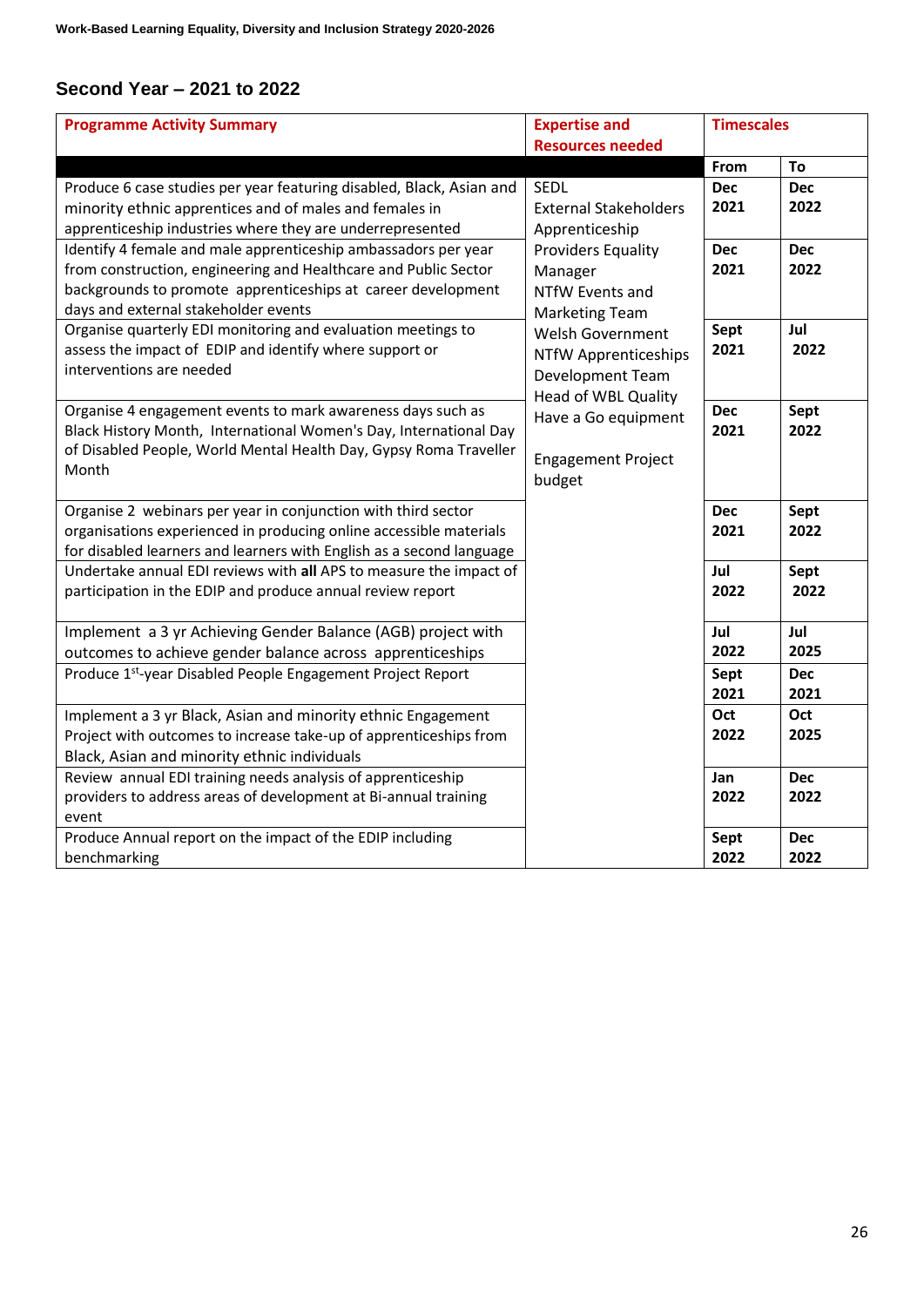#### **Second Year – 2021 to 2022**

| <b>Programme Activity Summary</b>                                       | <b>Expertise and</b>         | <b>Timescales</b> |            |
|-------------------------------------------------------------------------|------------------------------|-------------------|------------|
|                                                                         | <b>Resources needed</b>      |                   |            |
|                                                                         |                              | From              | To         |
| Produce 6 case studies per year featuring disabled, Black, Asian and    | <b>SEDL</b>                  | <b>Dec</b>        | <b>Dec</b> |
| minority ethnic apprentices and of males and females in                 | <b>External Stakeholders</b> | 2021              | 2022       |
| apprenticeship industries where they are underrepresented               | Apprenticeship               |                   |            |
| Identify 4 female and male apprenticeship ambassadors per year          | <b>Providers Equality</b>    | <b>Dec</b>        | <b>Dec</b> |
| from construction, engineering and Healthcare and Public Sector         | Manager                      | 2021              | 2022       |
| backgrounds to promote apprenticeships at career development            | NTfW Events and              |                   |            |
| days and external stakeholder events                                    | <b>Marketing Team</b>        |                   |            |
| Organise quarterly EDI monitoring and evaluation meetings to            | Welsh Government             | Sept              | Jul        |
| assess the impact of EDIP and identify where support or                 | NTfW Apprenticeships         | 2021              | 2022       |
| interventions are needed                                                | Development Team             |                   |            |
|                                                                         | <b>Head of WBL Quality</b>   |                   |            |
| Organise 4 engagement events to mark awareness days such as             | Have a Go equipment          | <b>Dec</b>        | Sept       |
| Black History Month, International Women's Day, International Day       |                              | 2021              | 2022       |
| of Disabled People, World Mental Health Day, Gypsy Roma Traveller       | <b>Engagement Project</b>    |                   |            |
| Month                                                                   | budget                       |                   |            |
|                                                                         |                              |                   |            |
| Organise 2 webinars per year in conjunction with third sector           |                              | <b>Dec</b>        | Sept       |
| organisations experienced in producing online accessible materials      |                              | 2021              | 2022       |
| for disabled learners and learners with English as a second language    |                              |                   |            |
| Undertake annual EDI reviews with all APS to measure the impact of      |                              | Jul               | Sept       |
| participation in the EDIP and produce annual review report              |                              | 2022              | 2022       |
|                                                                         |                              |                   |            |
| Implement a 3 yr Achieving Gender Balance (AGB) project with            |                              | Jul               | Jul        |
| outcomes to achieve gender balance across apprenticeships               |                              | 2022              | 2025       |
| Produce 1 <sup>st</sup> -year Disabled People Engagement Project Report |                              | Sept              | <b>Dec</b> |
|                                                                         |                              | 2021              | 2021       |
| Implement a 3 yr Black, Asian and minority ethnic Engagement            |                              | Oct               | Oct        |
| Project with outcomes to increase take-up of apprenticeships from       |                              | 2022              | 2025       |
| Black, Asian and minority ethnic individuals                            |                              |                   |            |
| Review annual EDI training needs analysis of apprenticeship             |                              | Jan               | <b>Dec</b> |
| providers to address areas of development at Bi-annual training         |                              | 2022              | 2022       |
| event                                                                   |                              |                   |            |
| Produce Annual report on the impact of the EDIP including               |                              | Sept              | <b>Dec</b> |
| benchmarking                                                            |                              | 2022              | 2022       |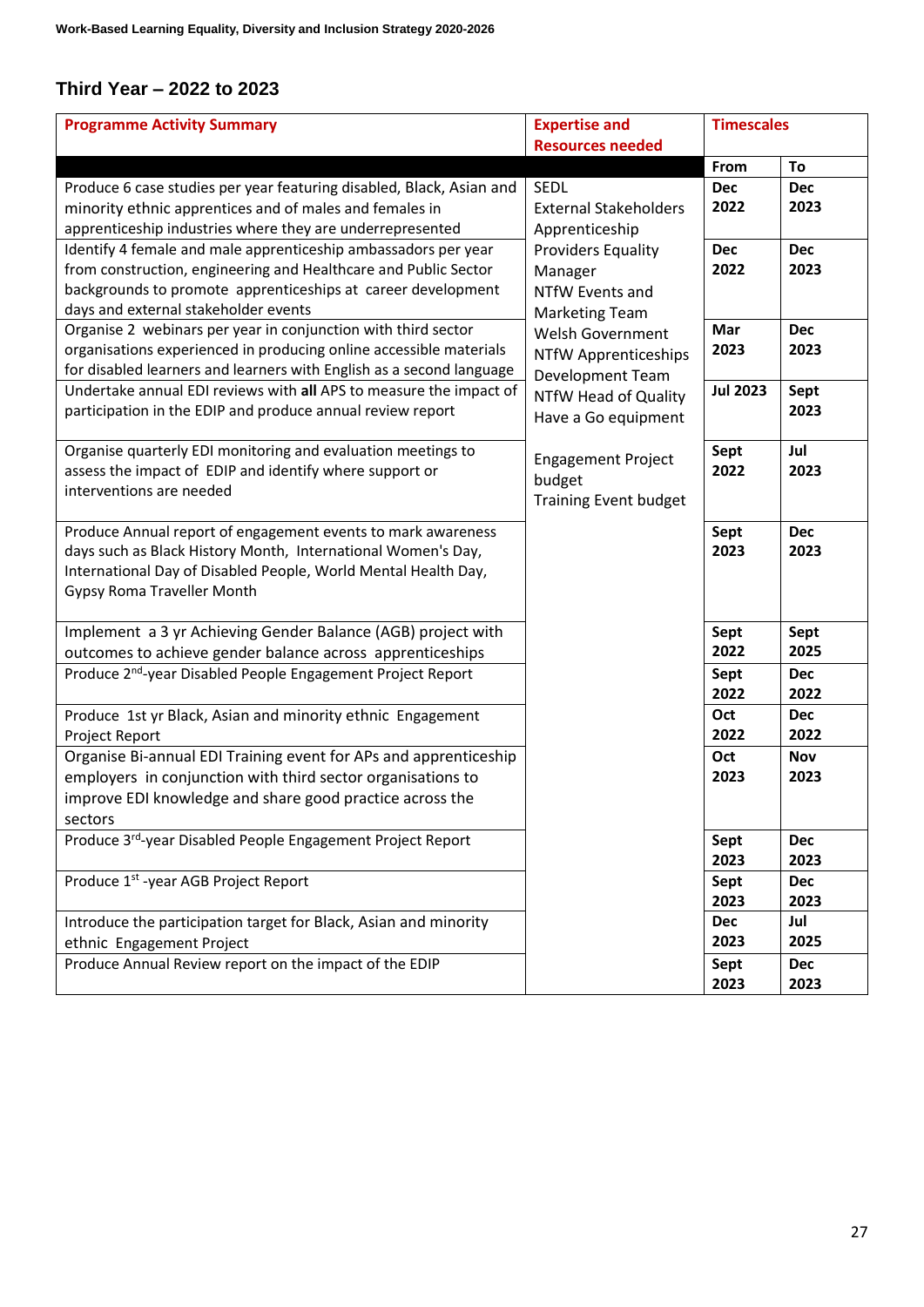#### **Third Year – 2022 to 2023**

| <b>Programme Activity Summary</b>                                                                                               | <b>Expertise and</b><br><b>Resources needed</b> | <b>Timescales</b>  |                    |
|---------------------------------------------------------------------------------------------------------------------------------|-------------------------------------------------|--------------------|--------------------|
|                                                                                                                                 |                                                 | From               | To                 |
| Produce 6 case studies per year featuring disabled, Black, Asian and<br>minority ethnic apprentices and of males and females in | SEDL<br><b>External Stakeholders</b>            | <b>Dec</b><br>2022 | <b>Dec</b><br>2023 |
| apprenticeship industries where they are underrepresented                                                                       | Apprenticeship                                  |                    |                    |
| Identify 4 female and male apprenticeship ambassadors per year                                                                  | <b>Providers Equality</b>                       | <b>Dec</b>         | <b>Dec</b>         |
| from construction, engineering and Healthcare and Public Sector                                                                 | Manager                                         | 2022               | 2023               |
| backgrounds to promote apprenticeships at career development                                                                    | NTfW Events and                                 |                    |                    |
| days and external stakeholder events                                                                                            | <b>Marketing Team</b>                           |                    |                    |
| Organise 2 webinars per year in conjunction with third sector                                                                   | <b>Welsh Government</b>                         | Mar                | <b>Dec</b>         |
| organisations experienced in producing online accessible materials                                                              | NTfW Apprenticeships                            | 2023               | 2023               |
| for disabled learners and learners with English as a second language                                                            | Development Team                                |                    |                    |
| Undertake annual EDI reviews with all APS to measure the impact of                                                              | NTfW Head of Quality                            | <b>Jul 2023</b>    | Sept               |
| participation in the EDIP and produce annual review report                                                                      | Have a Go equipment                             |                    | 2023               |
|                                                                                                                                 |                                                 |                    |                    |
| Organise quarterly EDI monitoring and evaluation meetings to<br>assess the impact of EDIP and identify where support or         | <b>Engagement Project</b>                       | Sept<br>2022       | Jul<br>2023        |
| interventions are needed                                                                                                        | budget                                          |                    |                    |
|                                                                                                                                 | <b>Training Event budget</b>                    |                    |                    |
| Produce Annual report of engagement events to mark awareness                                                                    |                                                 | Sept               | <b>Dec</b>         |
| days such as Black History Month, International Women's Day,                                                                    |                                                 | 2023               | 2023               |
| International Day of Disabled People, World Mental Health Day,                                                                  |                                                 |                    |                    |
| Gypsy Roma Traveller Month                                                                                                      |                                                 |                    |                    |
|                                                                                                                                 |                                                 |                    |                    |
| Implement a 3 yr Achieving Gender Balance (AGB) project with                                                                    |                                                 | Sept               | Sept               |
| outcomes to achieve gender balance across apprenticeships                                                                       |                                                 | 2022               | 2025               |
| Produce 2 <sup>nd</sup> -year Disabled People Engagement Project Report                                                         |                                                 | Sept               | <b>Dec</b>         |
|                                                                                                                                 |                                                 | 2022               | 2022               |
| Produce 1st yr Black, Asian and minority ethnic Engagement                                                                      |                                                 | Oct                | <b>Dec</b>         |
| Project Report                                                                                                                  |                                                 | 2022               | 2022               |
| Organise Bi-annual EDI Training event for APs and apprenticeship                                                                |                                                 | Oct                | Nov                |
| employers in conjunction with third sector organisations to                                                                     |                                                 | 2023               | 2023               |
| improve EDI knowledge and share good practice across the                                                                        |                                                 |                    |                    |
| sectors                                                                                                                         |                                                 |                    |                    |
| Produce 3rd-year Disabled People Engagement Project Report                                                                      |                                                 | Sept               | <b>Dec</b>         |
|                                                                                                                                 |                                                 | 2023               | 2023               |
| Produce 1 <sup>st</sup> -year AGB Project Report                                                                                |                                                 | Sept               | <b>Dec</b>         |
|                                                                                                                                 |                                                 | 2023               | 2023               |
| Introduce the participation target for Black, Asian and minority                                                                |                                                 | <b>Dec</b><br>2023 | Jul<br>2025        |
| ethnic Engagement Project                                                                                                       |                                                 |                    |                    |
| Produce Annual Review report on the impact of the EDIP                                                                          |                                                 | Sept               | <b>Dec</b>         |
|                                                                                                                                 |                                                 | 2023               | 2023               |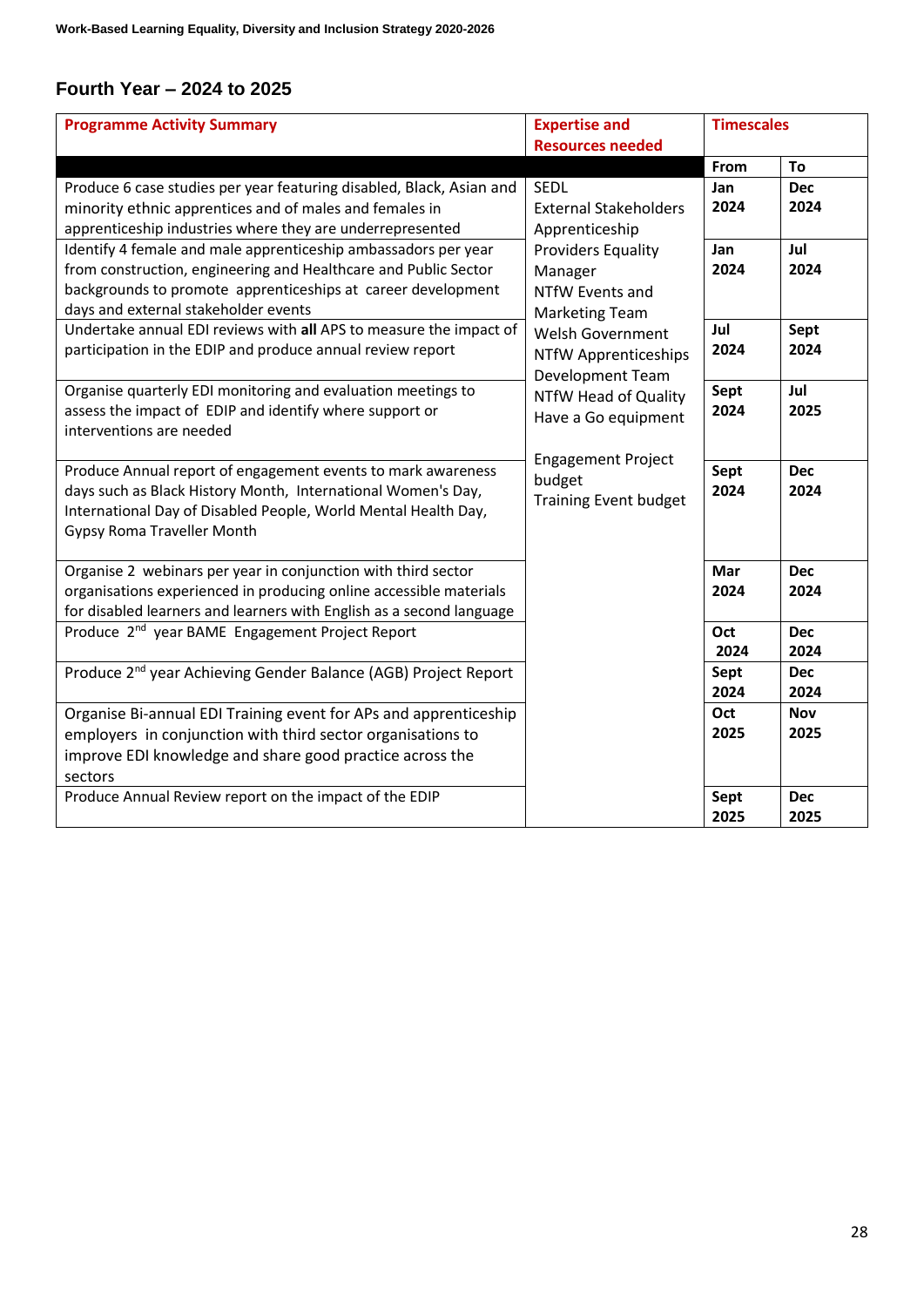### **Fourth Year – 2024 to 2025**

| <b>Programme Activity Summary</b>                                          | <b>Expertise and</b>         | <b>Timescales</b> |                  |
|----------------------------------------------------------------------------|------------------------------|-------------------|------------------|
|                                                                            | <b>Resources needed</b>      |                   |                  |
|                                                                            |                              | From              | To<br><b>Dec</b> |
| Produce 6 case studies per year featuring disabled, Black, Asian and       | <b>SEDL</b>                  | Jan               |                  |
| minority ethnic apprentices and of males and females in                    | <b>External Stakeholders</b> | 2024              | 2024             |
| apprenticeship industries where they are underrepresented                  | Apprenticeship               |                   |                  |
| Identify 4 female and male apprenticeship ambassadors per year             | <b>Providers Equality</b>    | Jan               | Jul              |
| from construction, engineering and Healthcare and Public Sector            | Manager                      | 2024              | 2024             |
| backgrounds to promote apprenticeships at career development               | NTfW Events and              |                   |                  |
| days and external stakeholder events                                       | <b>Marketing Team</b>        |                   |                  |
| Undertake annual EDI reviews with all APS to measure the impact of         | Welsh Government             | Jul               | Sept             |
| participation in the EDIP and produce annual review report                 | NTfW Apprenticeships         | 2024              | 2024             |
|                                                                            | Development Team             |                   |                  |
| Organise quarterly EDI monitoring and evaluation meetings to               | NTfW Head of Quality         | Sept              | Jul              |
| assess the impact of EDIP and identify where support or                    | Have a Go equipment          | 2024              | 2025             |
| interventions are needed                                                   |                              |                   |                  |
|                                                                            | <b>Engagement Project</b>    |                   |                  |
| Produce Annual report of engagement events to mark awareness               | budget                       | Sept              | <b>Dec</b>       |
| days such as Black History Month, International Women's Day,               | <b>Training Event budget</b> | 2024              | 2024             |
| International Day of Disabled People, World Mental Health Day,             |                              |                   |                  |
| Gypsy Roma Traveller Month                                                 |                              |                   |                  |
| Organise 2 webinars per year in conjunction with third sector              |                              | Mar               | <b>Dec</b>       |
| organisations experienced in producing online accessible materials         |                              | 2024              | 2024             |
| for disabled learners and learners with English as a second language       |                              |                   |                  |
| Produce 2 <sup>nd</sup> year BAME Engagement Project Report                |                              | Oct               | <b>Dec</b>       |
|                                                                            |                              | 2024              | 2024             |
| Produce 2 <sup>nd</sup> year Achieving Gender Balance (AGB) Project Report |                              | Sept              | <b>Dec</b>       |
|                                                                            |                              | 2024              | 2024             |
| Organise Bi-annual EDI Training event for APs and apprenticeship           |                              | Oct               | <b>Nov</b>       |
| employers in conjunction with third sector organisations to                |                              | 2025              | 2025             |
| improve EDI knowledge and share good practice across the                   |                              |                   |                  |
| sectors                                                                    |                              |                   |                  |
| Produce Annual Review report on the impact of the EDIP                     |                              | Sept              | <b>Dec</b>       |
|                                                                            |                              | 2025              | 2025             |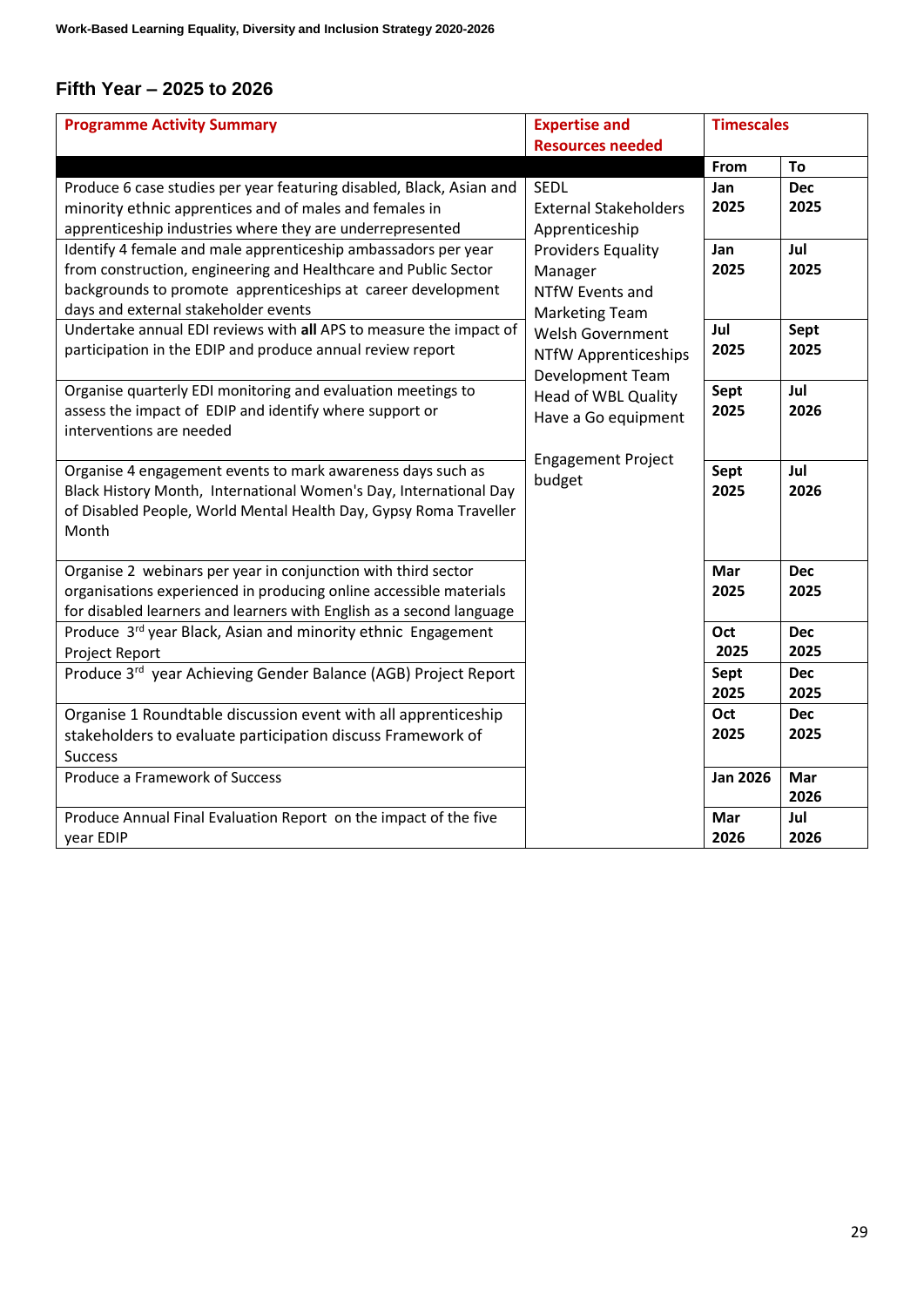#### **Fifth Year – 2025 to 2026**

| <b>Programme Activity Summary</b>                                    | <b>Expertise and</b>         | <b>Timescales</b> |            |
|----------------------------------------------------------------------|------------------------------|-------------------|------------|
|                                                                      | <b>Resources needed</b>      |                   |            |
|                                                                      |                              | From              | To         |
| Produce 6 case studies per year featuring disabled, Black, Asian and | <b>SEDL</b>                  | Jan               | <b>Dec</b> |
| minority ethnic apprentices and of males and females in              | <b>External Stakeholders</b> | 2025              | 2025       |
| apprenticeship industries where they are underrepresented            | Apprenticeship               |                   |            |
| Identify 4 female and male apprenticeship ambassadors per year       | <b>Providers Equality</b>    | Jan               | Jul        |
| from construction, engineering and Healthcare and Public Sector      | Manager                      | 2025              | 2025       |
| backgrounds to promote apprenticeships at career development         | NTfW Events and              |                   |            |
| days and external stakeholder events                                 | <b>Marketing Team</b>        |                   |            |
| Undertake annual EDI reviews with all APS to measure the impact of   | <b>Welsh Government</b>      | Jul               | Sept       |
| participation in the EDIP and produce annual review report           | NTfW Apprenticeships         | 2025              | 2025       |
|                                                                      | Development Team             |                   |            |
| Organise quarterly EDI monitoring and evaluation meetings to         | <b>Head of WBL Quality</b>   | Sept              | Jul        |
| assess the impact of EDIP and identify where support or              | Have a Go equipment          | 2025              | 2026       |
| interventions are needed                                             |                              |                   |            |
|                                                                      | <b>Engagement Project</b>    |                   |            |
| Organise 4 engagement events to mark awareness days such as          | budget                       | Sept              | Jul        |
| Black History Month, International Women's Day, International Day    |                              | 2025              | 2026       |
| of Disabled People, World Mental Health Day, Gypsy Roma Traveller    |                              |                   |            |
| Month                                                                |                              |                   |            |
|                                                                      |                              |                   |            |
| Organise 2 webinars per year in conjunction with third sector        |                              | Mar               | <b>Dec</b> |
| organisations experienced in producing online accessible materials   |                              | 2025              | 2025       |
| for disabled learners and learners with English as a second language |                              |                   |            |
| Produce 3rd year Black, Asian and minority ethnic Engagement         |                              | Oct               | <b>Dec</b> |
| Project Report                                                       |                              | 2025              | 2025       |
| Produce 3rd year Achieving Gender Balance (AGB) Project Report       |                              | Sept              | <b>Dec</b> |
|                                                                      |                              | 2025              | 2025       |
| Organise 1 Roundtable discussion event with all apprenticeship       |                              | Oct               | <b>Dec</b> |
| stakeholders to evaluate participation discuss Framework of          |                              | 2025              | 2025       |
| <b>Success</b>                                                       |                              |                   |            |
| Produce a Framework of Success                                       |                              | <b>Jan 2026</b>   | Mar        |
|                                                                      |                              |                   | 2026       |
| Produce Annual Final Evaluation Report on the impact of the five     |                              | Mar               | Jul        |
| year EDIP                                                            |                              | 2026              | 2026       |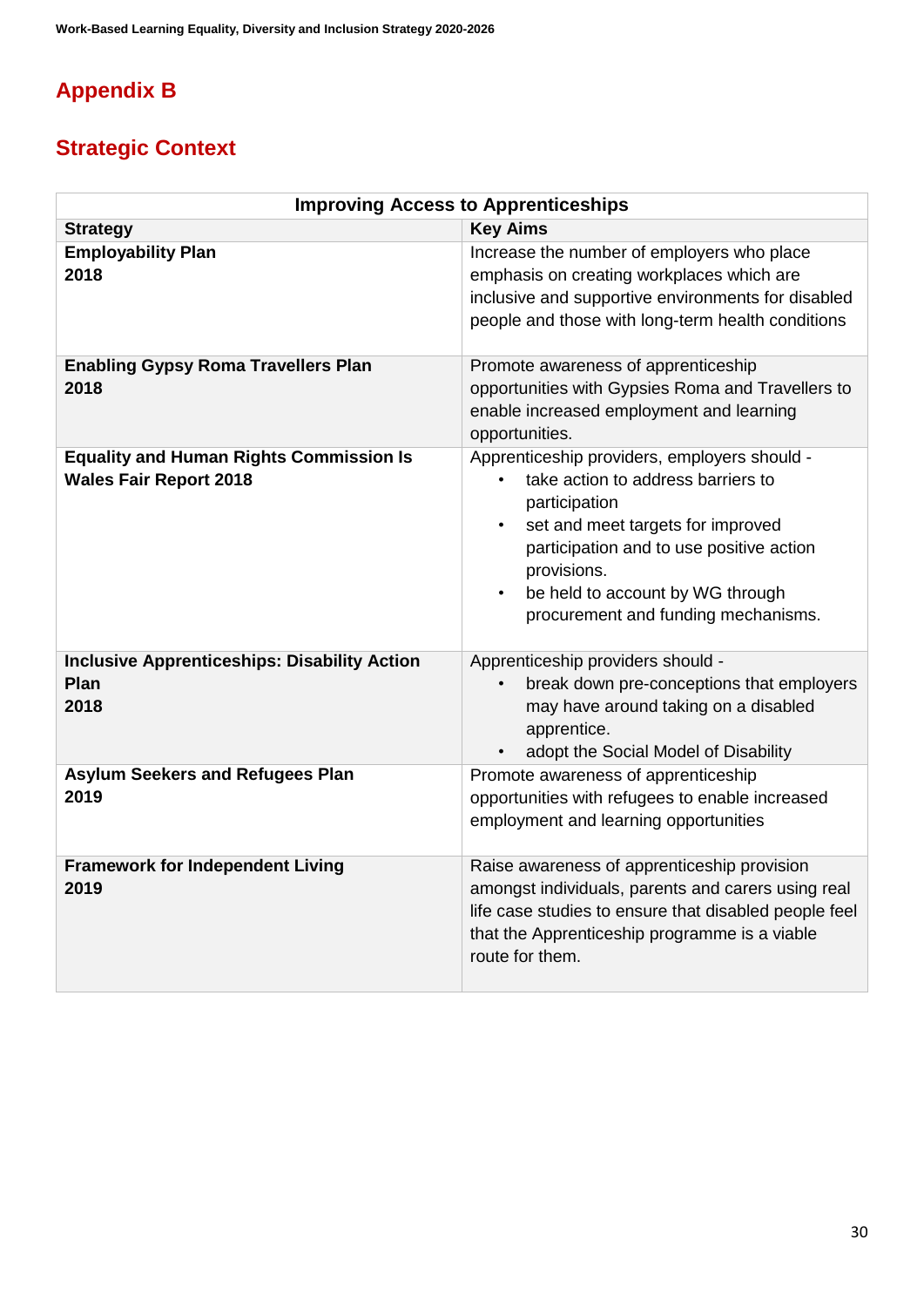## **Appendix B**

## **Strategic Context**

| <b>Improving Access to Apprenticeships</b>                                      |                                                                                                                                                                                                                                                                                             |  |
|---------------------------------------------------------------------------------|---------------------------------------------------------------------------------------------------------------------------------------------------------------------------------------------------------------------------------------------------------------------------------------------|--|
| <b>Strategy</b>                                                                 | <b>Key Aims</b>                                                                                                                                                                                                                                                                             |  |
| <b>Employability Plan</b><br>2018                                               | Increase the number of employers who place<br>emphasis on creating workplaces which are<br>inclusive and supportive environments for disabled<br>people and those with long-term health conditions                                                                                          |  |
| <b>Enabling Gypsy Roma Travellers Plan</b><br>2018                              | Promote awareness of apprenticeship<br>opportunities with Gypsies Roma and Travellers to<br>enable increased employment and learning<br>opportunities.                                                                                                                                      |  |
| <b>Equality and Human Rights Commission Is</b><br><b>Wales Fair Report 2018</b> | Apprenticeship providers, employers should -<br>take action to address barriers to<br>participation<br>set and meet targets for improved<br>$\bullet$<br>participation and to use positive action<br>provisions.<br>be held to account by WG through<br>procurement and funding mechanisms. |  |
| <b>Inclusive Apprenticeships: Disability Action</b><br>Plan<br>2018             | Apprenticeship providers should -<br>break down pre-conceptions that employers<br>may have around taking on a disabled<br>apprentice.<br>adopt the Social Model of Disability                                                                                                               |  |
| <b>Asylum Seekers and Refugees Plan</b><br>2019                                 | Promote awareness of apprenticeship<br>opportunities with refugees to enable increased<br>employment and learning opportunities                                                                                                                                                             |  |
| <b>Framework for Independent Living</b><br>2019                                 | Raise awareness of apprenticeship provision<br>amongst individuals, parents and carers using real<br>life case studies to ensure that disabled people feel<br>that the Apprenticeship programme is a viable<br>route for them.                                                              |  |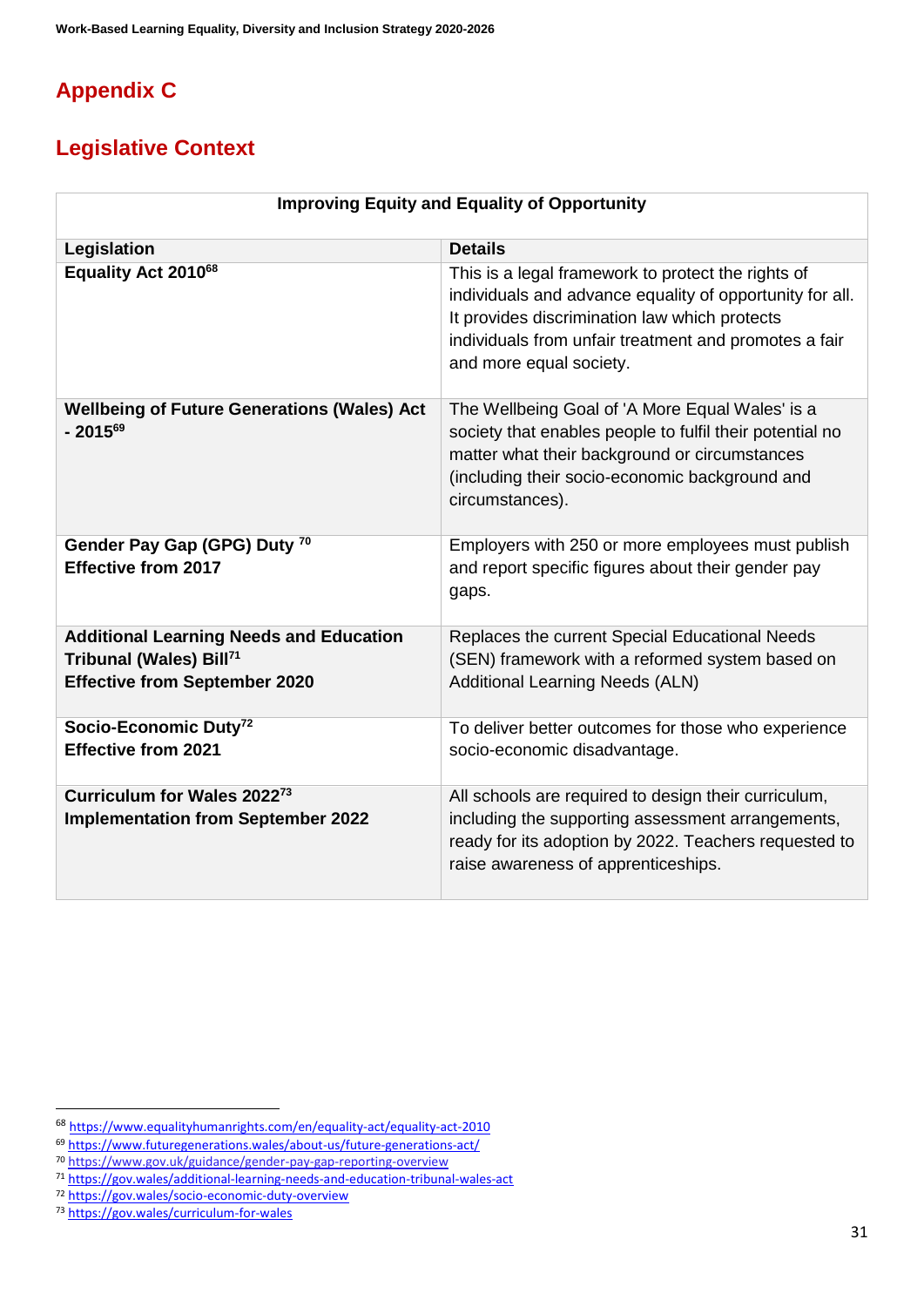## **Appendix C**

## **Legislative Context**

| <b>Improving Equity and Equality of Opportunity</b>                                                                           |                                                                                                                                                                                                                                                     |  |
|-------------------------------------------------------------------------------------------------------------------------------|-----------------------------------------------------------------------------------------------------------------------------------------------------------------------------------------------------------------------------------------------------|--|
| Legislation                                                                                                                   | <b>Details</b>                                                                                                                                                                                                                                      |  |
| Equality Act 2010 <sup>68</sup>                                                                                               | This is a legal framework to protect the rights of<br>individuals and advance equality of opportunity for all.<br>It provides discrimination law which protects<br>individuals from unfair treatment and promotes a fair<br>and more equal society. |  |
| <b>Wellbeing of Future Generations (Wales) Act</b><br>$-2015^{69}$                                                            | The Wellbeing Goal of 'A More Equal Wales' is a<br>society that enables people to fulfil their potential no<br>matter what their background or circumstances<br>(including their socio-economic background and<br>circumstances).                   |  |
| Gender Pay Gap (GPG) Duty 70<br><b>Effective from 2017</b>                                                                    | Employers with 250 or more employees must publish<br>and report specific figures about their gender pay<br>gaps.                                                                                                                                    |  |
| <b>Additional Learning Needs and Education</b><br>Tribunal (Wales) Bill <sup>71</sup><br><b>Effective from September 2020</b> | Replaces the current Special Educational Needs<br>(SEN) framework with a reformed system based on<br><b>Additional Learning Needs (ALN)</b>                                                                                                         |  |
| Socio-Economic Duty <sup>72</sup><br><b>Effective from 2021</b>                                                               | To deliver better outcomes for those who experience<br>socio-economic disadvantage.                                                                                                                                                                 |  |
| Curriculum for Wales 202273<br><b>Implementation from September 2022</b>                                                      | All schools are required to design their curriculum,<br>including the supporting assessment arrangements,<br>ready for its adoption by 2022. Teachers requested to<br>raise awareness of apprenticeships.                                           |  |

<sup>68</sup> <https://www.equalityhumanrights.com/en/equality-act/equality-act-2010>

<sup>69</sup> <https://www.futuregenerations.wales/about-us/future-generations-act/>

<sup>70</sup> <https://www.gov.uk/guidance/gender-pay-gap-reporting-overview>

<sup>71</sup> <https://gov.wales/additional-learning-needs-and-education-tribunal-wales-act>

<sup>72</sup> <https://gov.wales/socio-economic-duty-overview>

<sup>73</sup> <https://gov.wales/curriculum-for-wales>